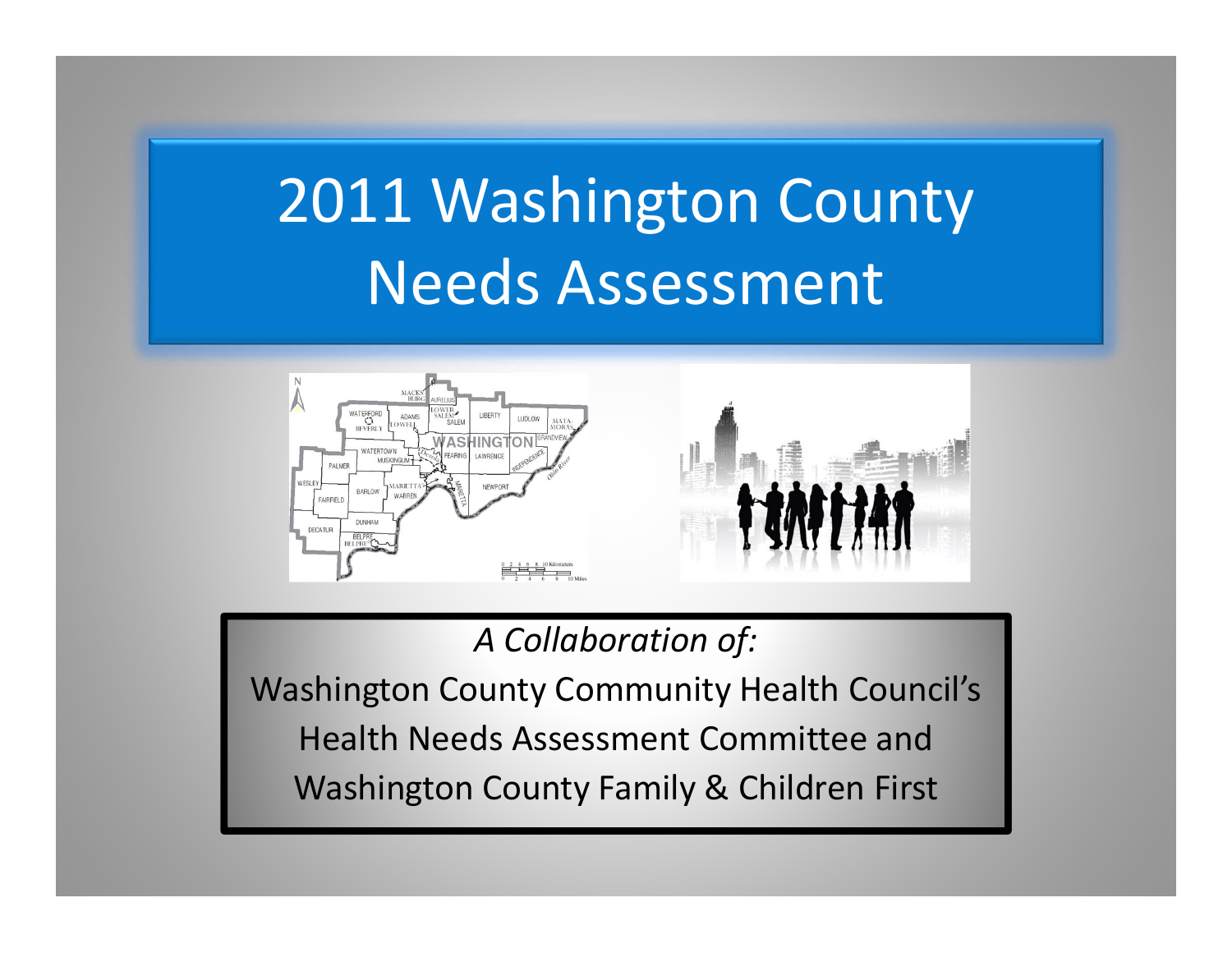# 2011 Washington County Needs Assessment





*A Collaboration of:*

Washington County Community Health Council's Health Needs Assessment Committee and Washington County Family & Children First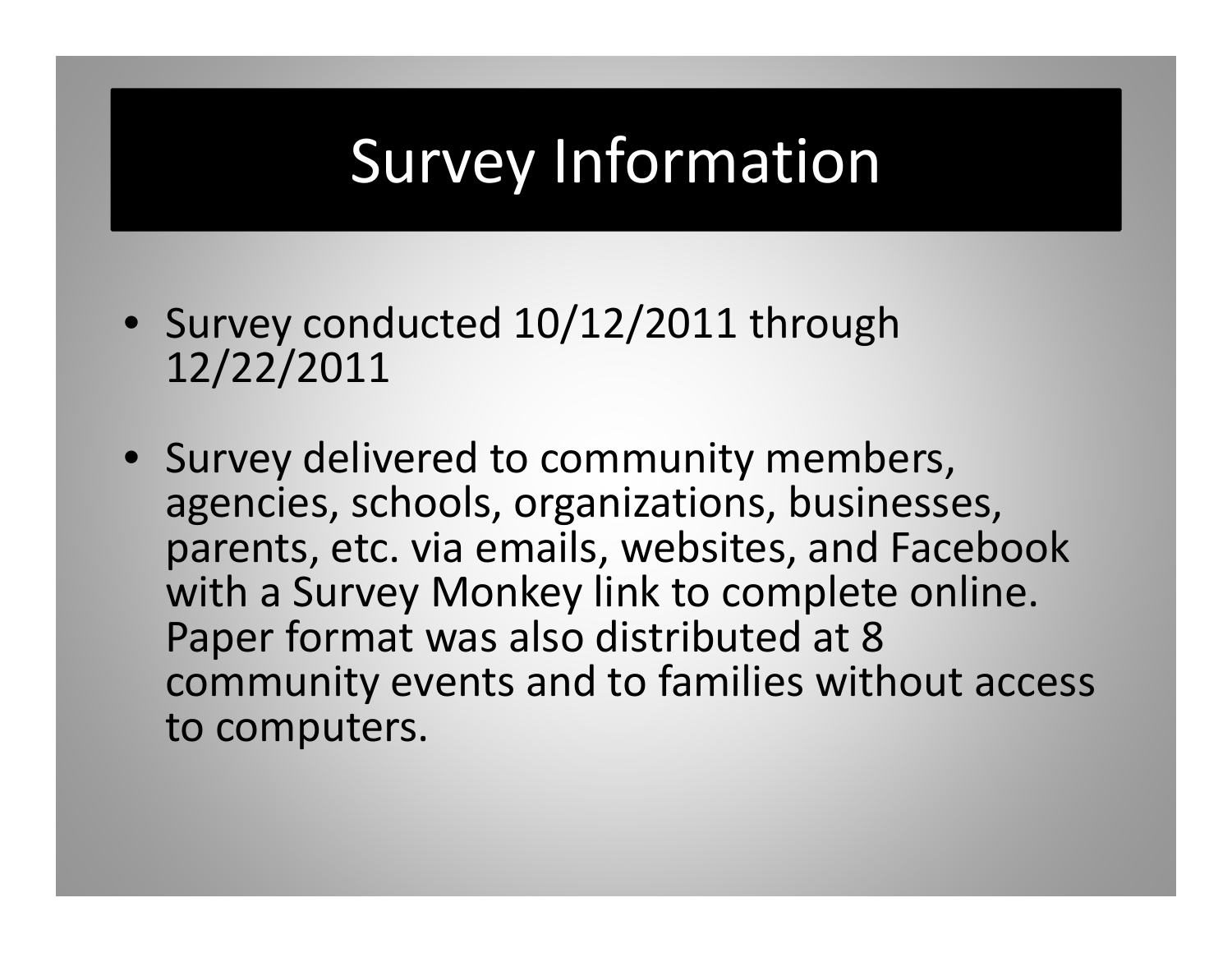# Survey Information

- Survey conducted 10/12/2011 through 12/22/2011
- Survey delivered to community members, agencies, schools, organizations, businesses, parents, etc. via emails, websites, and Facebook with <sup>a</sup> Survey Monkey link to complete online. Paper format was also distributed at 8 community events and to families without access to computers.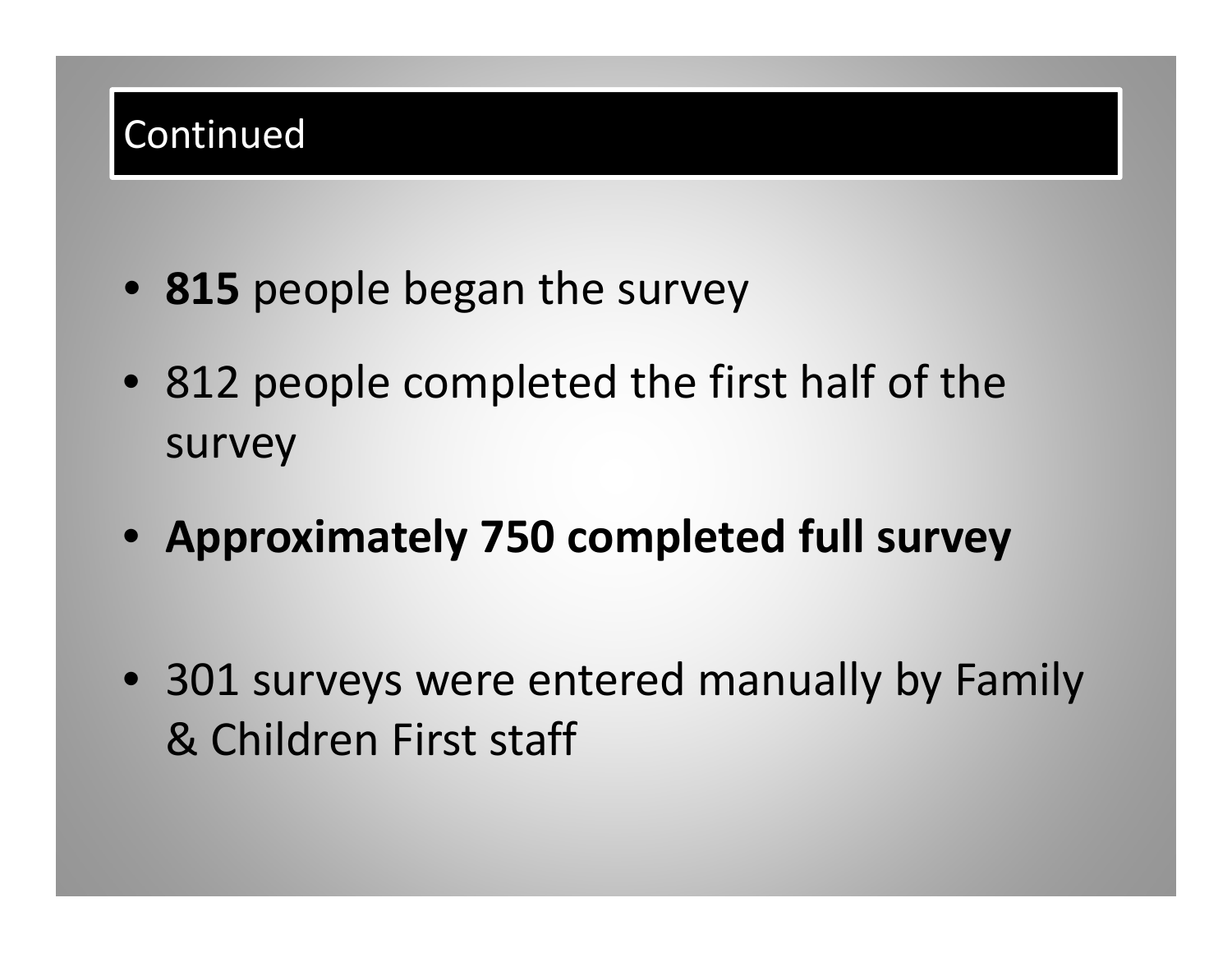#### Continued

- **815** people began the survey
- 812 people completed the first half of the survey
- **Approximately 750 completed full survey**
- 301 surveys were entered manually by Family & Children First staff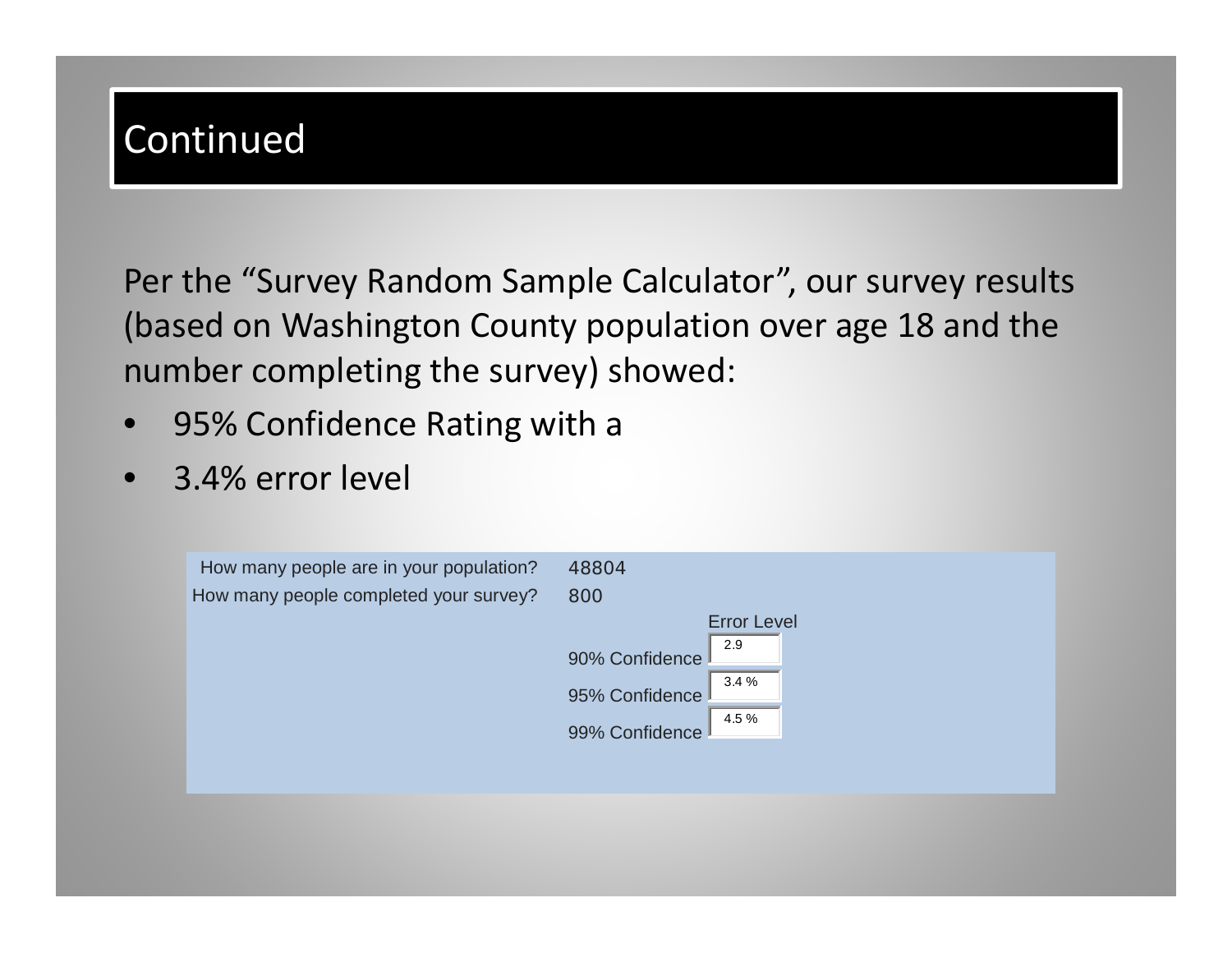#### Continued

Per the "Survey Random Sample Calculator", our survey results (based on Washington County population over age 18 and the number completing the survey) showed:

- •95% Confidence Rating with <sup>a</sup>
- •3.4% error level

| How many people are in your population? | 48804                   |
|-----------------------------------------|-------------------------|
| How many people completed your survey?  | 800                     |
|                                         | <b>Error Level</b>      |
|                                         | 2.9<br>90% Confidence   |
|                                         | 3.4%                    |
|                                         | 95% Confidence<br>4.5 % |
|                                         | 99% Confidence          |
|                                         |                         |
|                                         |                         |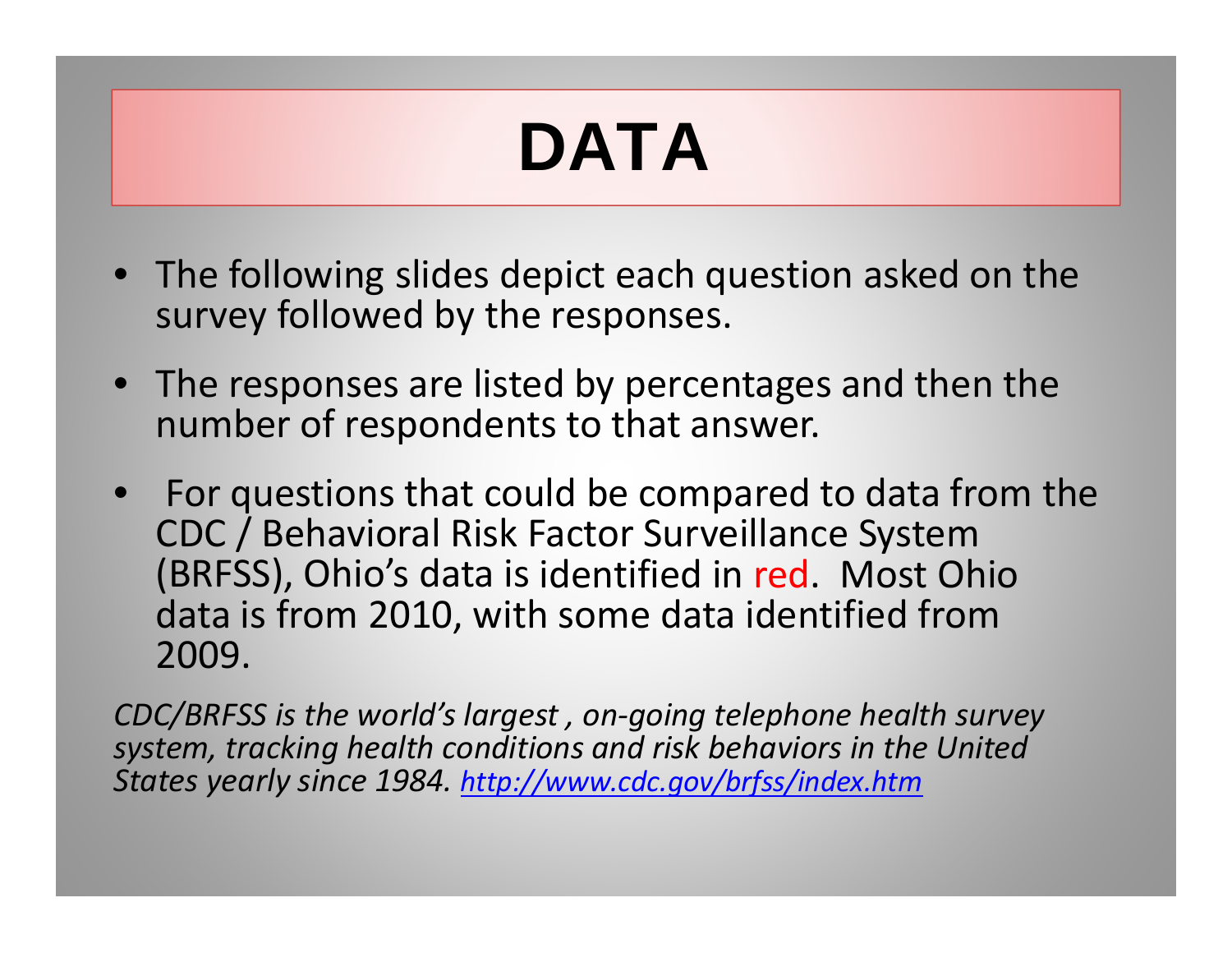# DATA

- The following slides depict each question asked on the survey followed by the responses.
- The responses are listed by percentages and then the number of respondents to that answer.
- For questions that could be compared to data from the CDC / Behavioral Risk Factor Surveillance System (BRFSS), Ohio's data is identified in red. Most Ohio data is from 2010, with some data identified from 2009.

*CDC/BRFSS is the world's largest , on‐going telephone health survey system, tracking health conditions and risk behaviors in the United States yearly since 1984. http://www.cdc.gov/brfss/index.htm*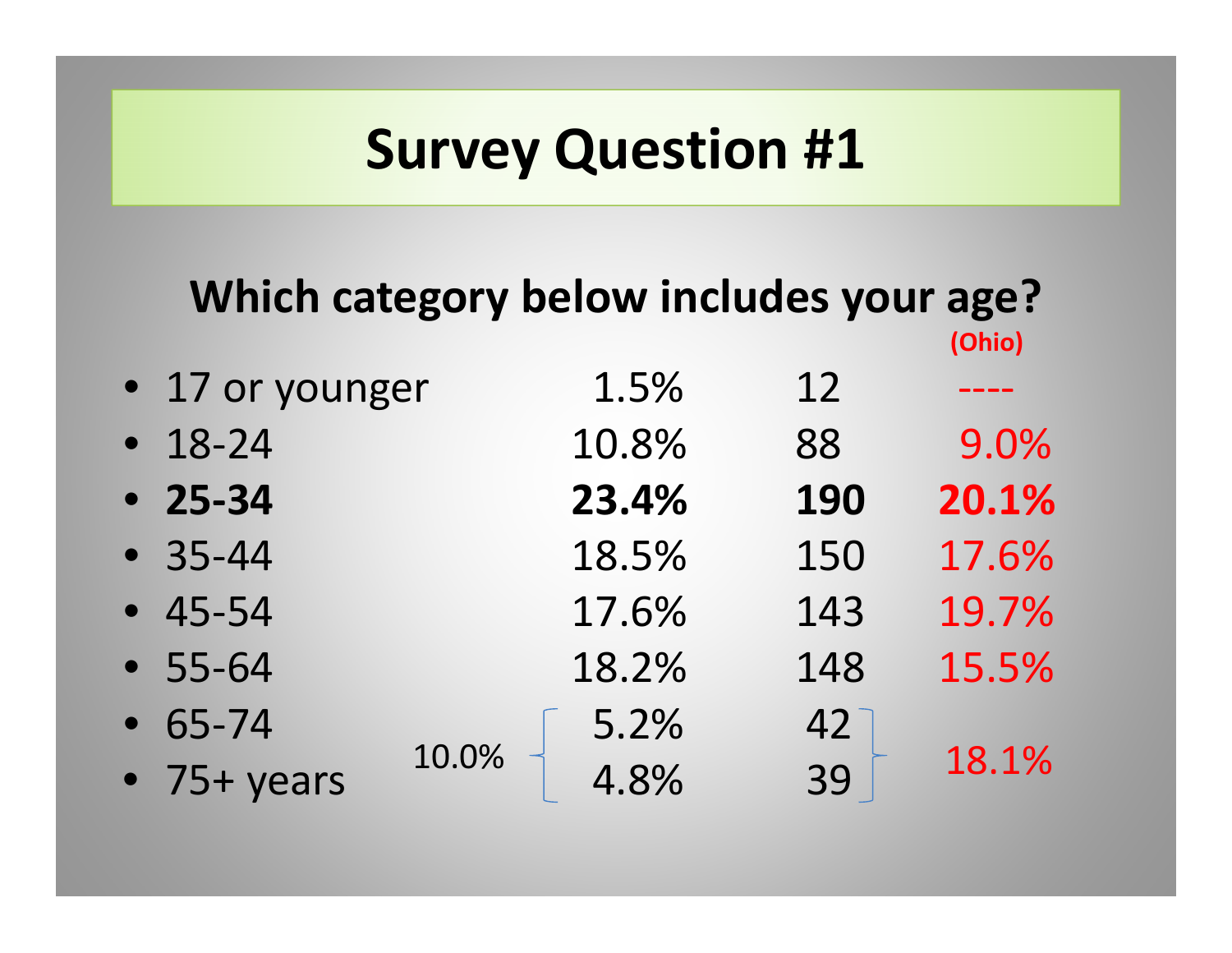#### **Which category below includes your age? (Ohio)**

| • 17 or younger     | 1.5%          | 12         |       |
|---------------------|---------------|------------|-------|
| $• 18-24$           | 10.8%         | 88         | 9.0%  |
| $• 25 - 34$         | 23.4%         | <b>190</b> | 20.1% |
| $-35-44$            | 18.5%         | 150        | 17.6% |
| $-45-54$            | 17.6%         | 143        | 19.7% |
| $-55-64$            | 18.2%         | 148        | 15.5% |
| $• 65 - 74$         | 5.2%          | 42         |       |
| $\bullet$ 75+ years | 10.0%<br>4.8% | 39         | 18.1% |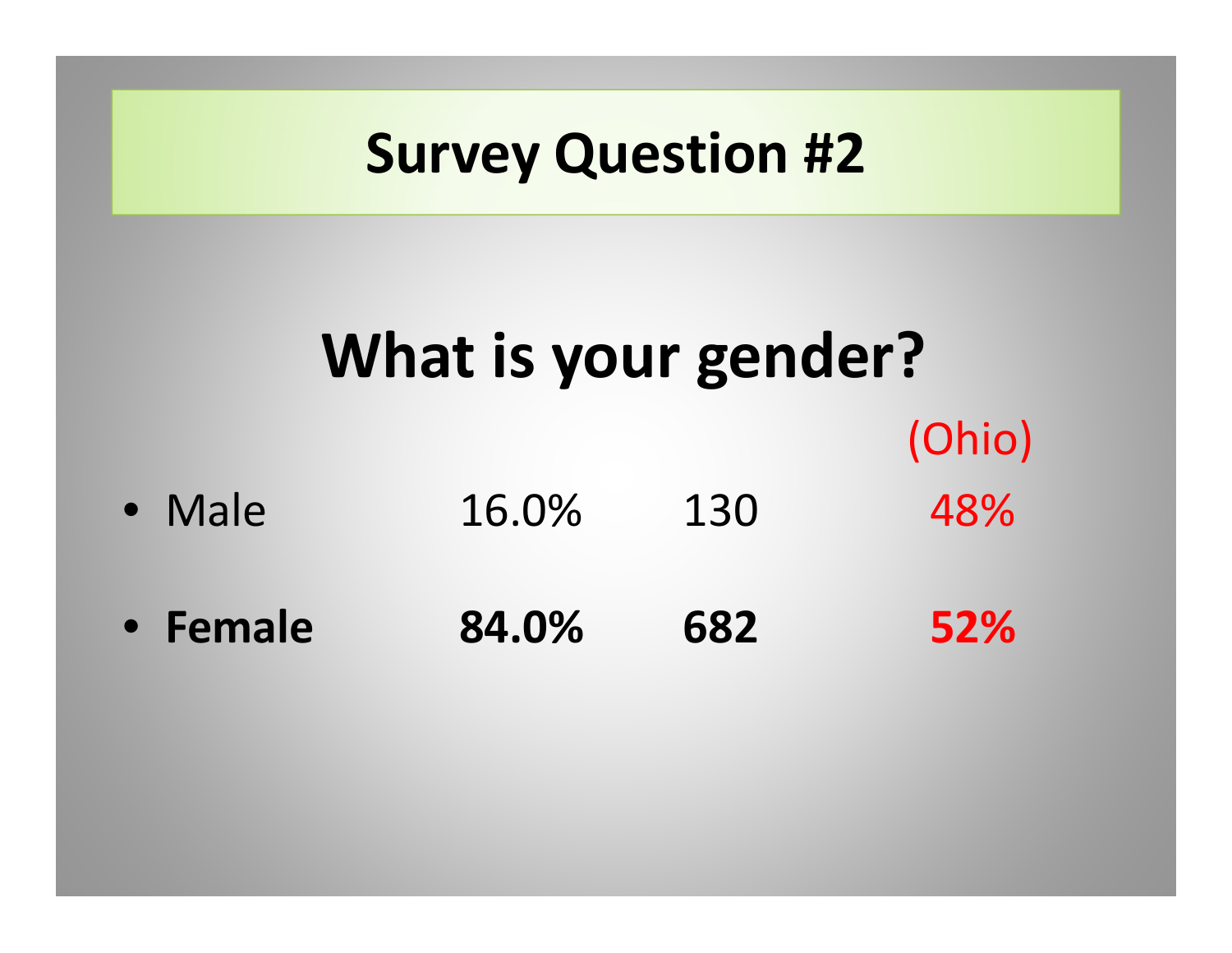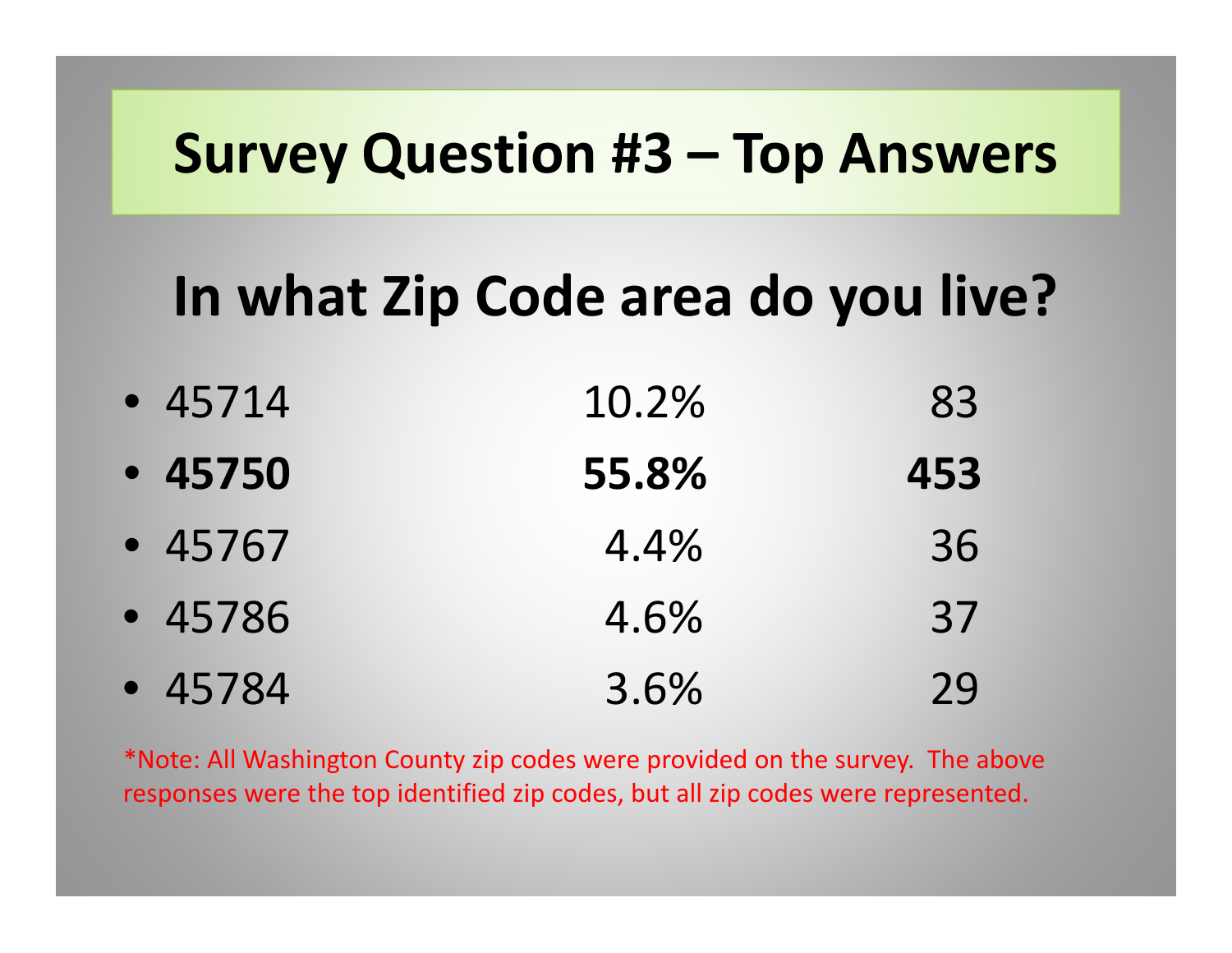#### **Survey Question #3 – Top Answers**

## **In what Zip Code area do you live?**

| $-45714$ | 10.2% | 83  |
|----------|-------|-----|
| $-45750$ | 55.8% | 453 |
| $-45767$ | 4.4%  | 36  |
| $-45786$ | 4.6%  | 37  |
| $-45784$ | 3.6%  | 29  |

\*Note: All Washington County zip codes were provided on the survey. The above responses were the top identified zip codes, but all zip codes were represented.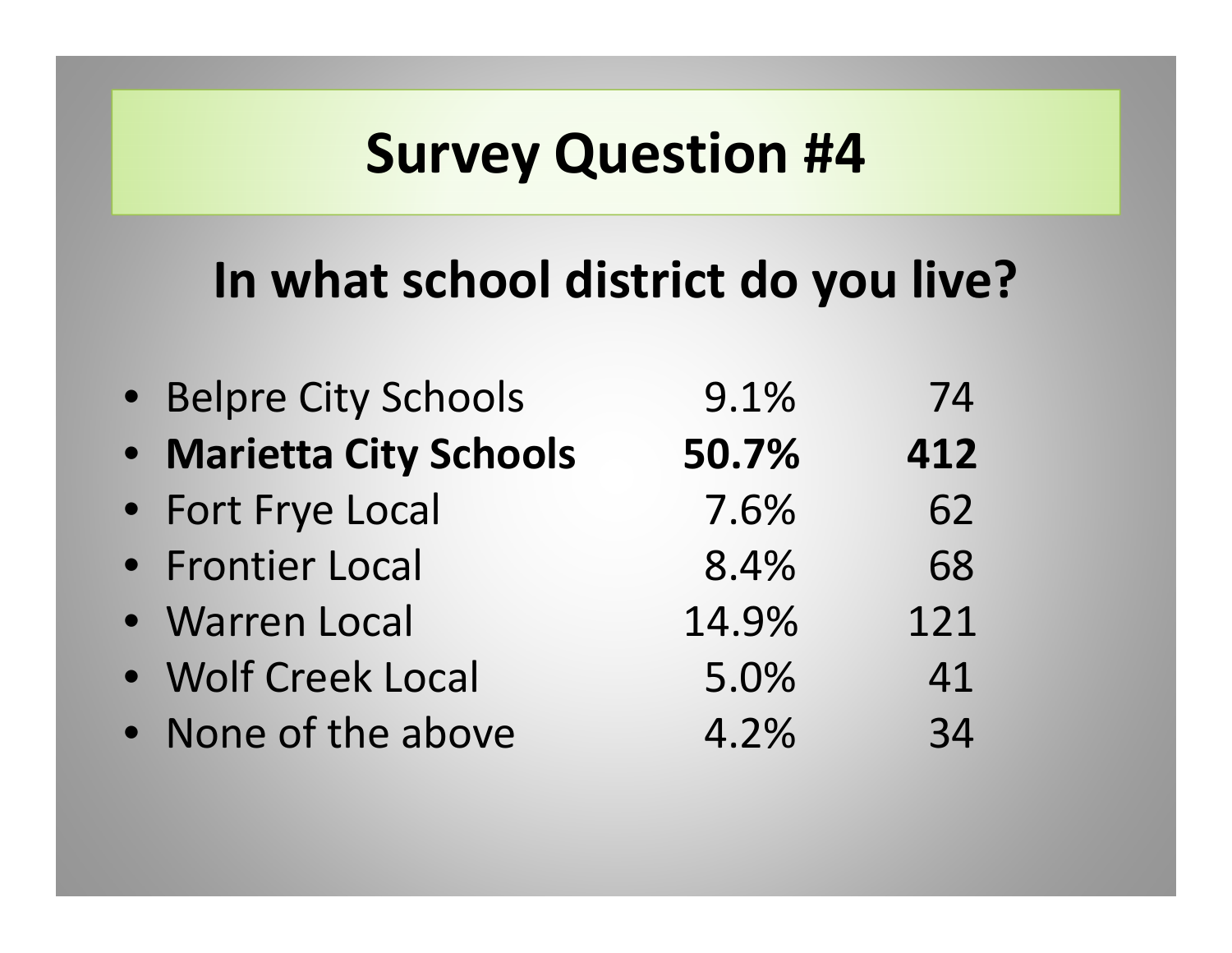#### **In what school district do you live?**

| • Belpre City Schools   | 9.1%  | 74  |
|-------------------------|-------|-----|
| · Marietta City Schools | 50.7% | 412 |
| • Fort Frye Local       | 7.6%  | 62  |
| • Frontier Local        | 8.4%  | 68  |
| · Warren Local          | 14.9% | 121 |
| · Wolf Creek Local      | 5.0%  | 41  |
| • None of the above     | 4.2%  | 34  |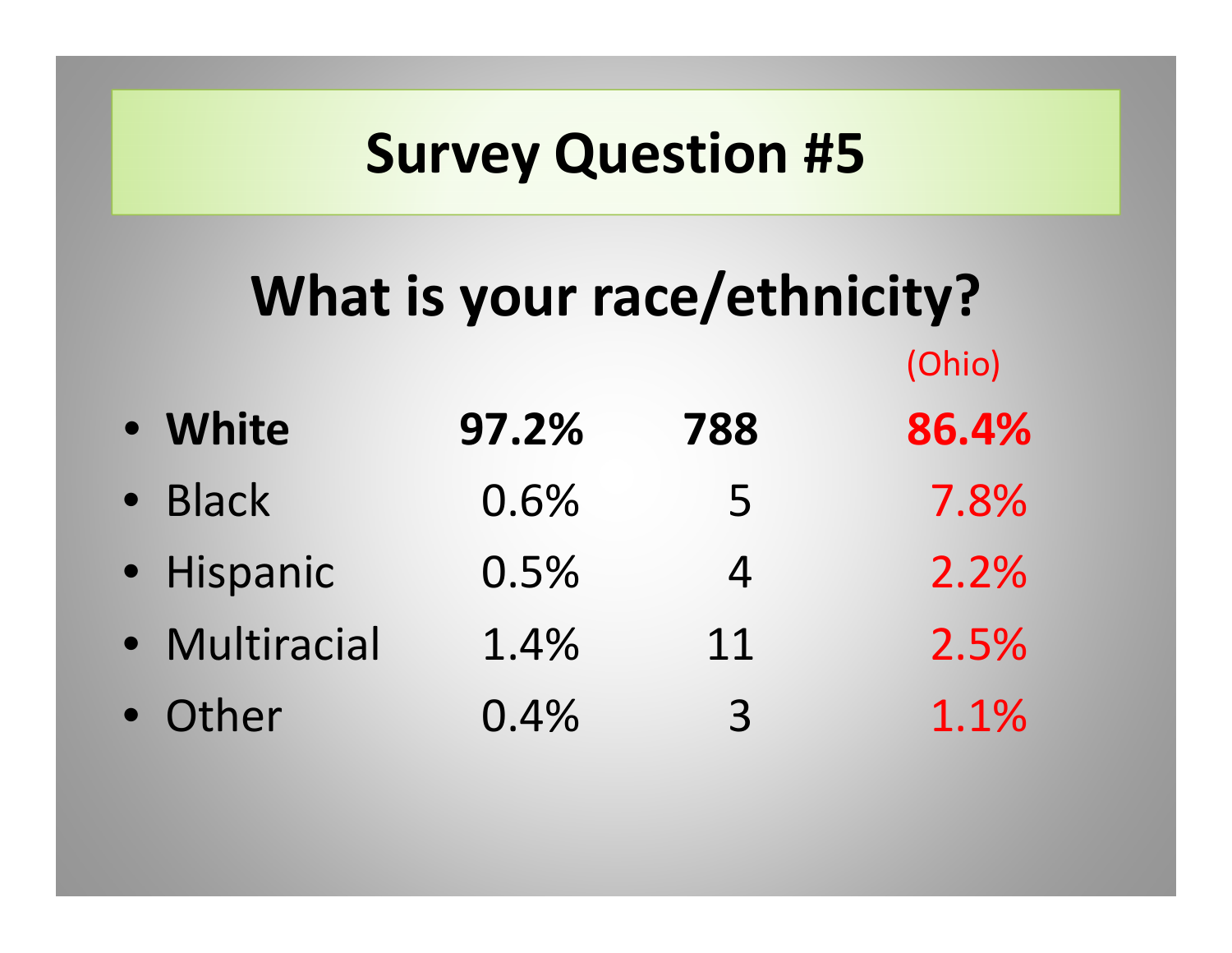## **What is your race/ethnicity?**

| • White       | 97.2% | 788            | 86.4% |
|---------------|-------|----------------|-------|
| · Black       | 0.6%  | 5              | 7.8%  |
| · Hispanic    | 0.5%  | 4              | 2.2%  |
| · Multiracial | 1.4%  | 11             | 2.5%  |
| · Other       | 0.4%  | $\overline{3}$ | 1.1%  |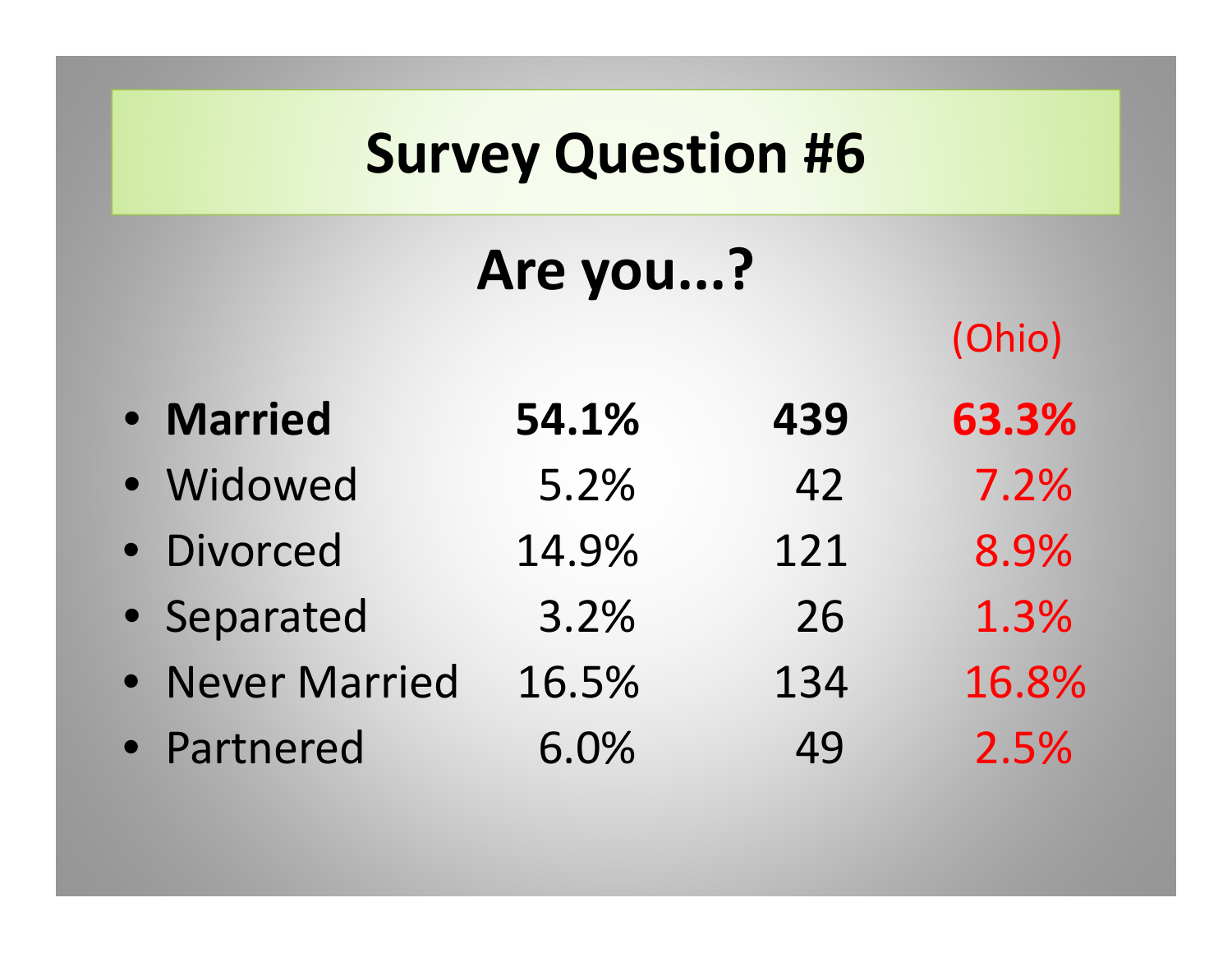## **Are you...?**

- **Married 54.1% 439 63.3%** • Widowed 5.2% 42 7.2% • Divorced 14.9% 121 8.9% • Separated 3.2% 26 1.3% • Never Married 16.5%134 16.8%
- Partnered 6.0%49 2.5%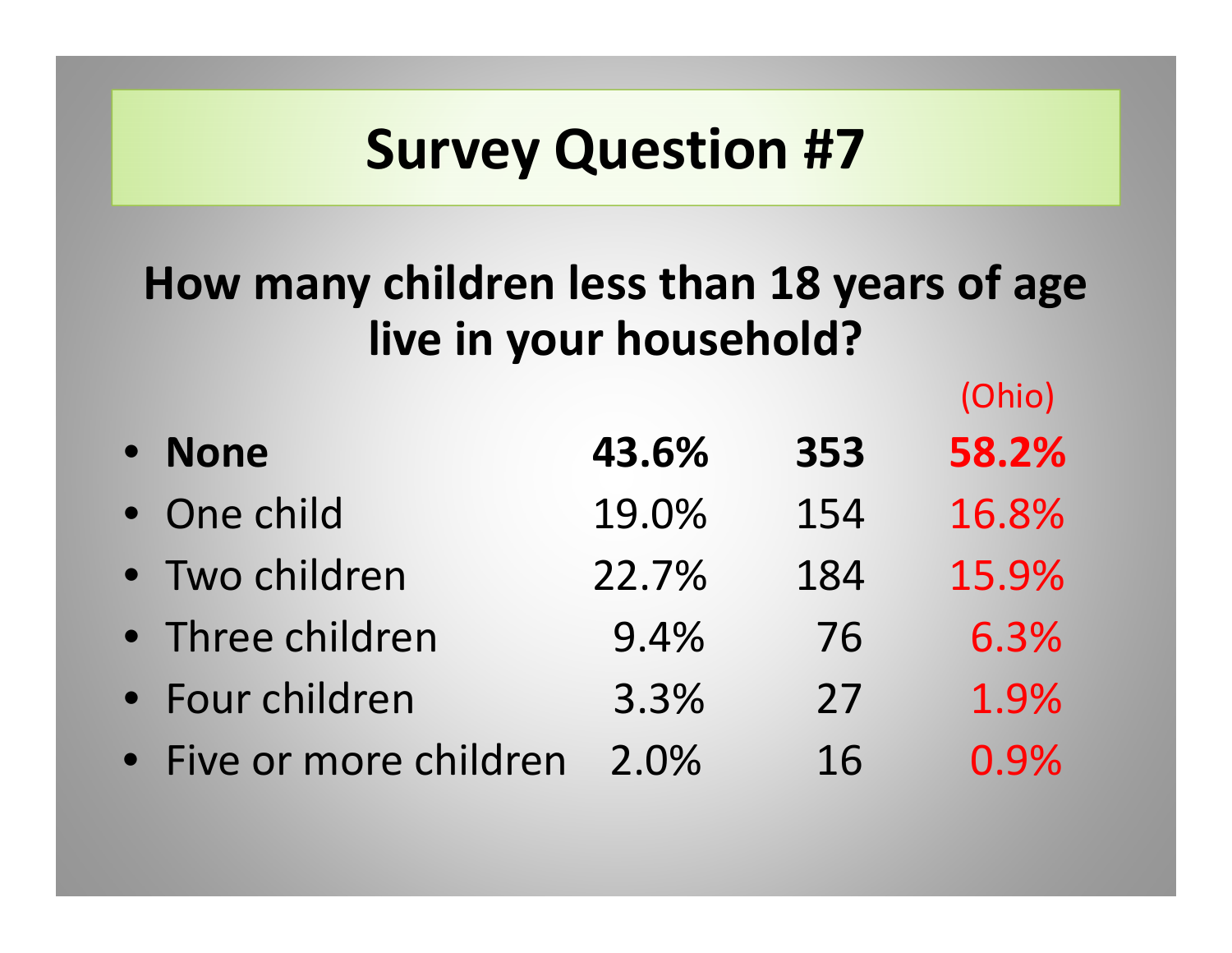#### **How many children less than 18 years of age live in your household?**

|           |                         |       |     | $\mathbf{v}$ |
|-----------|-------------------------|-------|-----|--------------|
| $\bullet$ | <b>None</b>             | 43.6% | 353 | 58.2%        |
|           | • One child             | 19.0% | 154 | 16.8%        |
|           | • Two children          | 22.7% | 184 | 15.9%        |
|           | • Three children        | 9.4%  | 76  | 6.3%         |
|           | • Four children         | 3.3%  | 27  | 1.9%         |
|           | • Five or more children | 2.0%  | 16  | 0.9%         |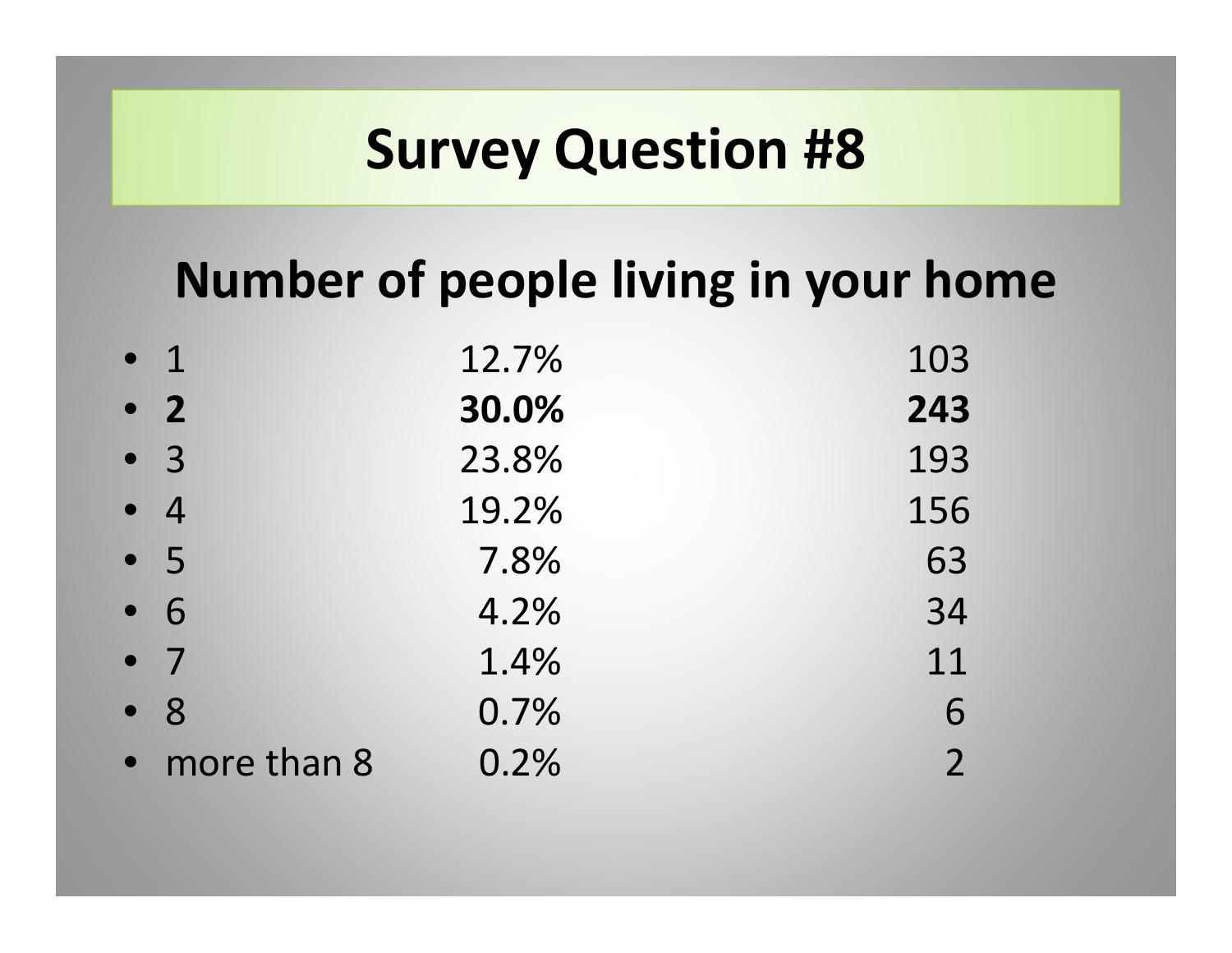#### **Number of people living in your home**

| $\bullet$ 1   | 12.7% | 103            |
|---------------|-------|----------------|
| $\bullet$ 2   | 30.0% | 243            |
| $\bullet$ 3   | 23.8% | 193            |
| $\bullet$ 4   | 19.2% | 156            |
| • 5           | 7.8%  | 63             |
| $\bullet$ 6   | 4.2%  | 34             |
| $\bullet$ 7   | 1.4%  | 11             |
| $\bullet$ 8   | 0.7%  | 6              |
| • more than 8 | 0.2%  | $\overline{2}$ |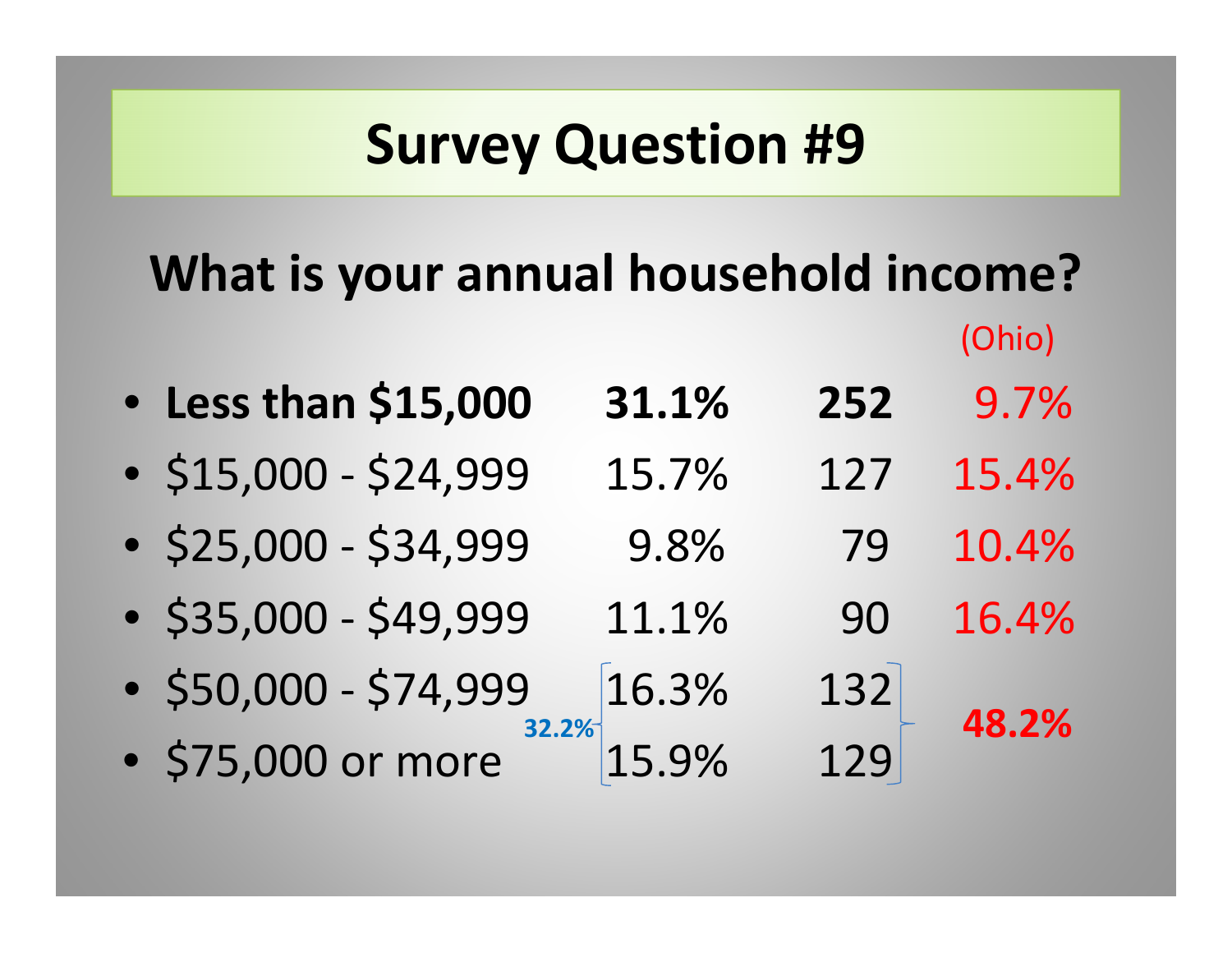# **What is your annual household income?**

(Ohio)

| • Less than \$15,000 31.1%<br>252 |  |  |  |  | 9.7% |
|-----------------------------------|--|--|--|--|------|
|-----------------------------------|--|--|--|--|------|

- \$15,000 ‐ \$24,999 15.7% 127 15.4%
- \$25,000 ‐ \$34,999 9.8% 79 10.4%
- \$35,000 ‐ \$49,999 11.1% 90 16.4%
- \$50,000 ‐ \$74,999 16.3% 132 **32.2%**
- \$75,000 or more 15.9% 129

**48.2%**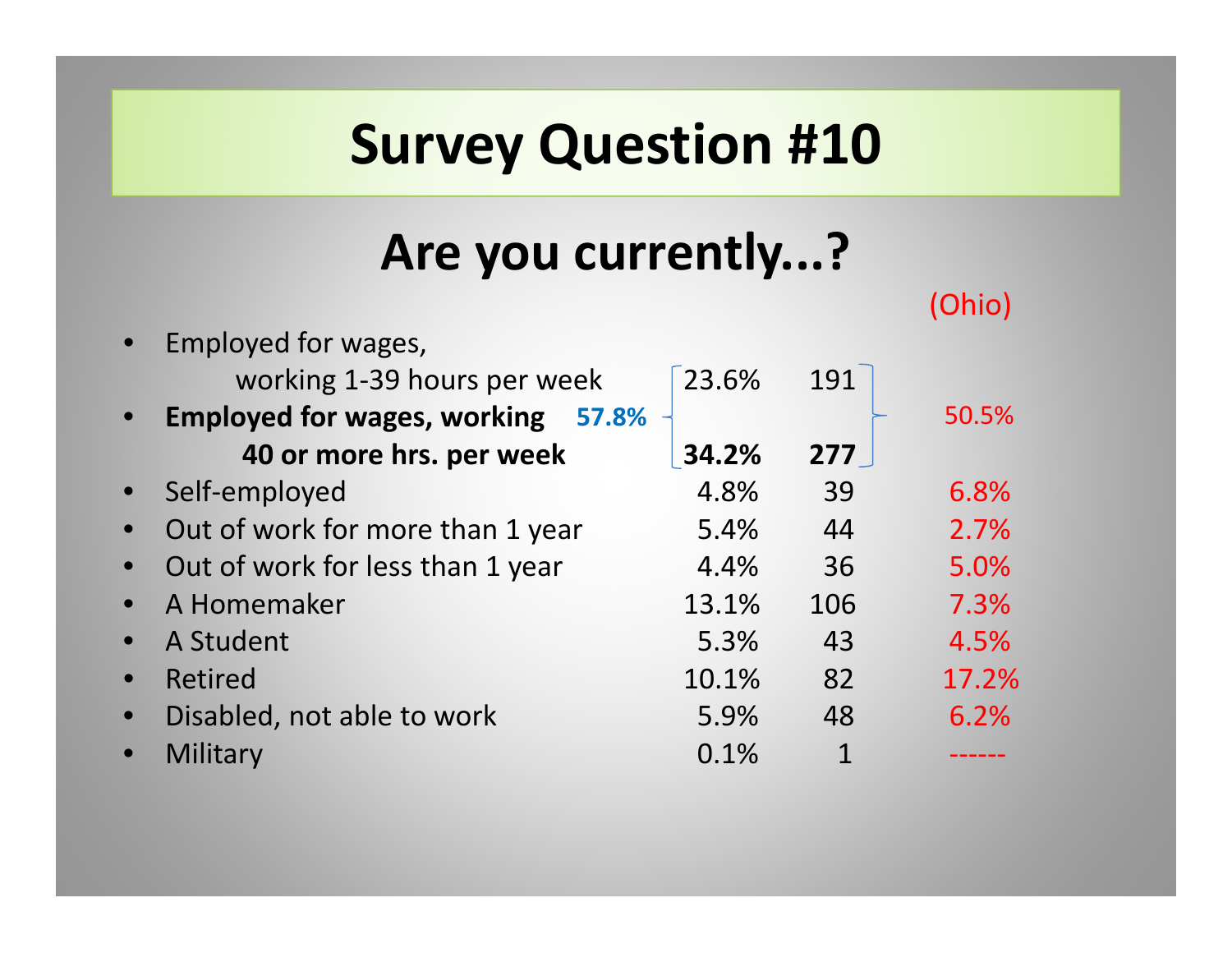#### **Are you currently...?**

|                                             |       |     | 1 UTTU |
|---------------------------------------------|-------|-----|--------|
| Employed for wages,                         |       |     |        |
| working 1-39 hours per week                 | 23.6% | 191 |        |
| <b>Employed for wages, working</b><br>57.8% |       |     | 50.5%  |
| 40 or more hrs. per week                    | 34.2% | 277 |        |
| Self-employed                               | 4.8%  | 39  | 6.8%   |
| Out of work for more than 1 year            | 5.4%  | 44  | 2.7%   |
| Out of work for less than 1 year            | 4.4%  | 36  | 5.0%   |
| A Homemaker                                 | 13.1% | 106 | 7.3%   |
| A Student                                   | 5.3%  | 43  | 4.5%   |
| <b>Retired</b>                              | 10.1% | 82  | 17.2%  |
| Disabled, not able to work                  | 5.9%  | 48  | 6.2%   |
| Military                                    | 0.1%  |     |        |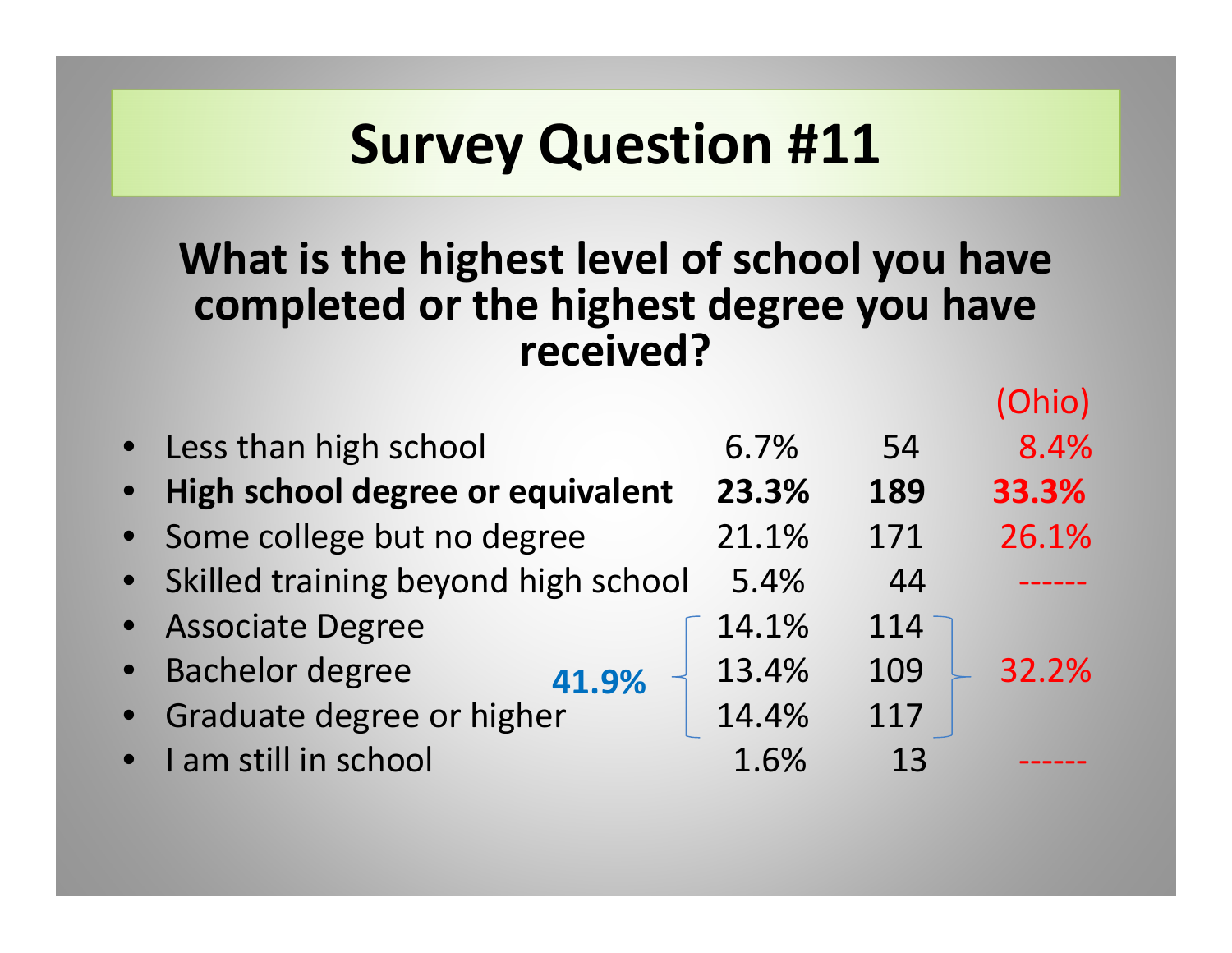#### **What is the highest level of school you have completed or the highest degree you have received?**

|           |                                       |       |     | Ohio) |
|-----------|---------------------------------------|-------|-----|-------|
|           | • Less than high school               | 6.7%  | 54  | 8.4%  |
| $\bullet$ | High school degree or equivalent      | 23.3% | 189 | 33.3% |
|           | • Some college but no degree          | 21.1% | 171 | 26.1% |
|           | • Skilled training beyond high school | 5.4%  | 44  |       |
|           | • Associate Degree                    | 14.1% | 114 |       |
| $\bullet$ | <b>Bachelor degree</b><br>41.9%       | 13.4% | 109 | 32.2% |
|           | • Graduate degree or higher           | 14.4% | 117 |       |
|           | • I am still in school                | 1.6%  | 13  |       |
|           |                                       |       |     |       |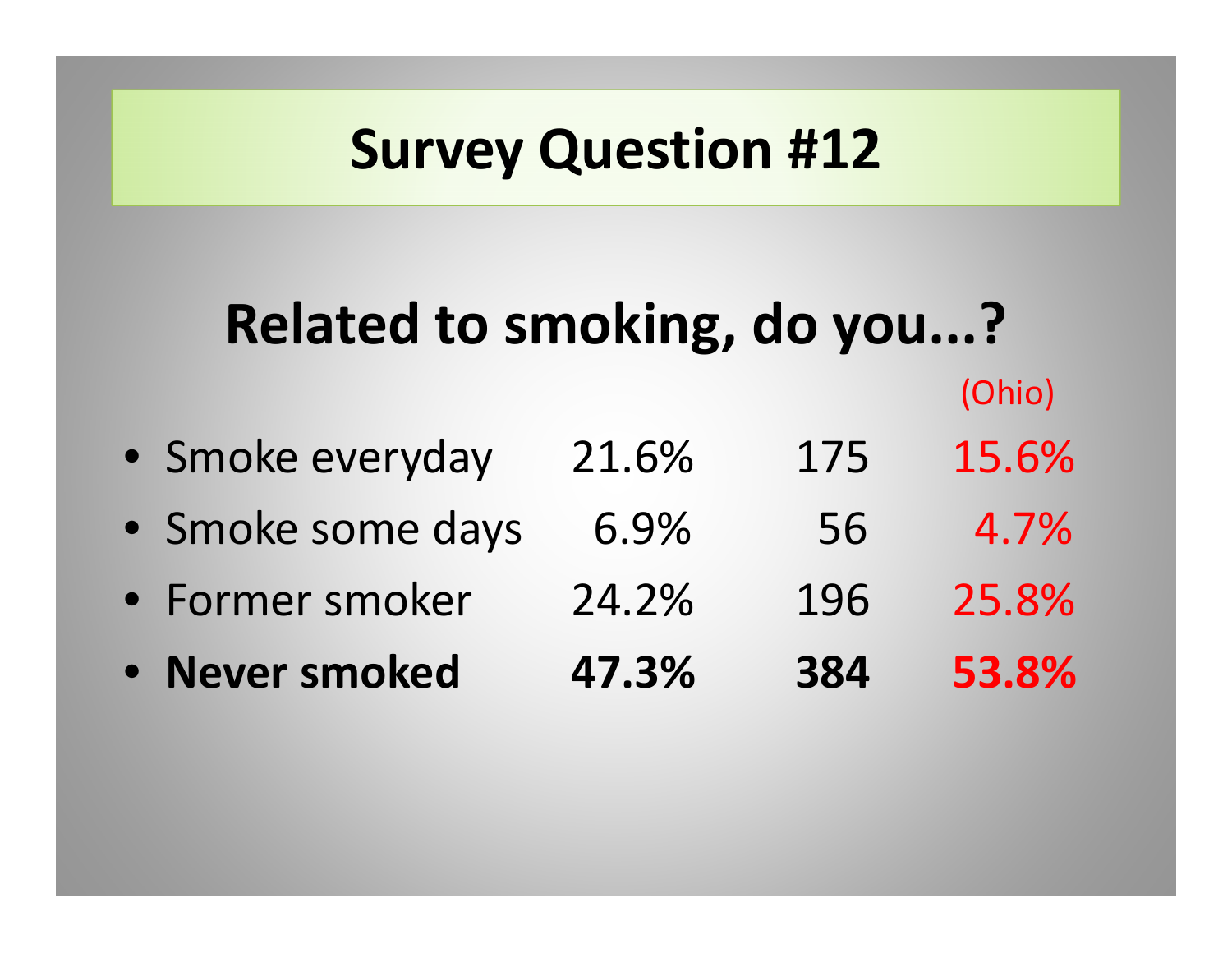## **Related to smoking, do you...?**

- Smoke everyday 21.6% 175 15.6%
- Smoke some days 6.9% 56 4.7%
- Former smoker 24.2%196 25.8%
- **Never smoked 47.3%384 53.8%**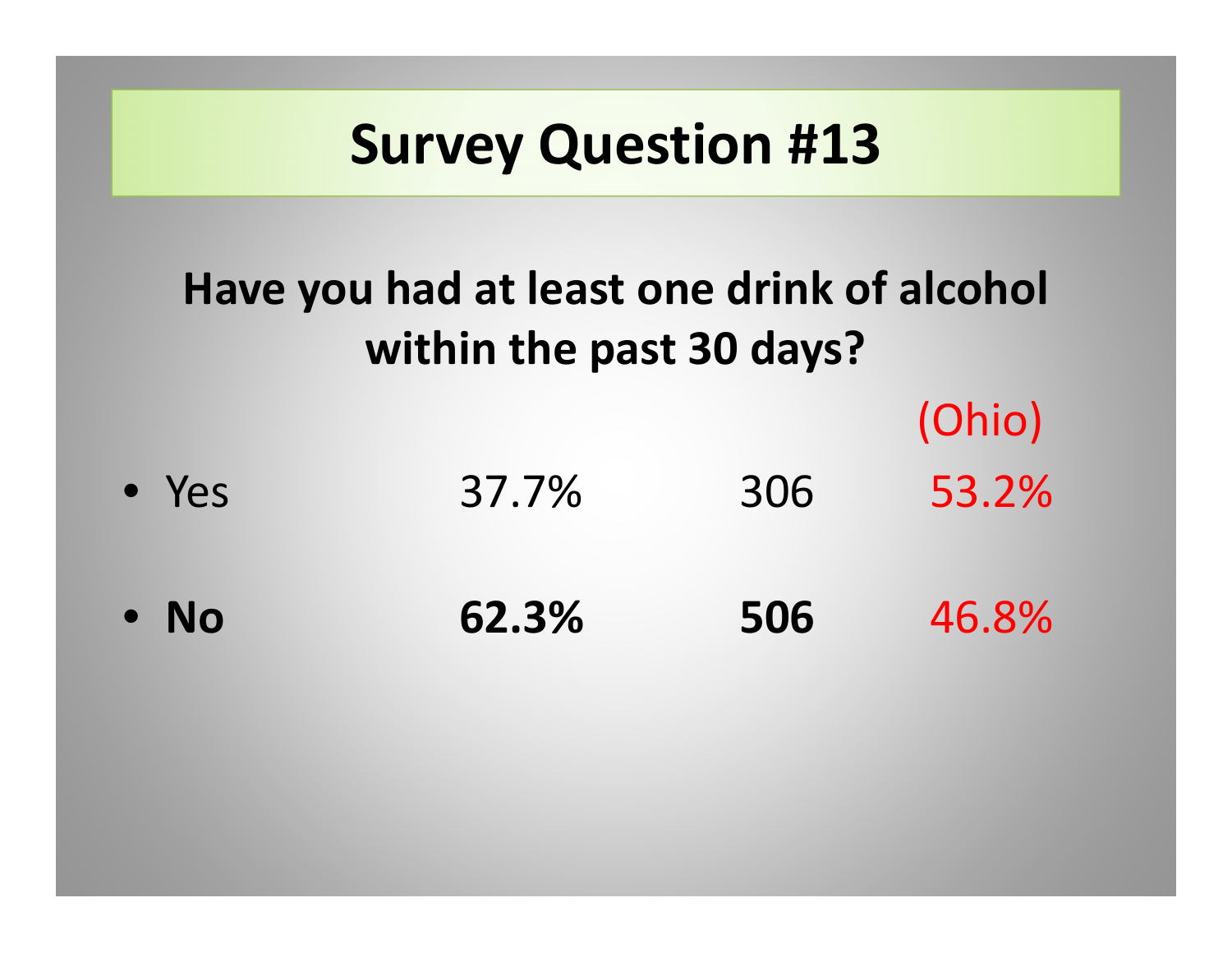#### **Have you had at least one drink of alcohol within the past 30 days?**

(Ohio)

• Yes 37.7%306 53.2%

• **No 62.3%506** 46.8%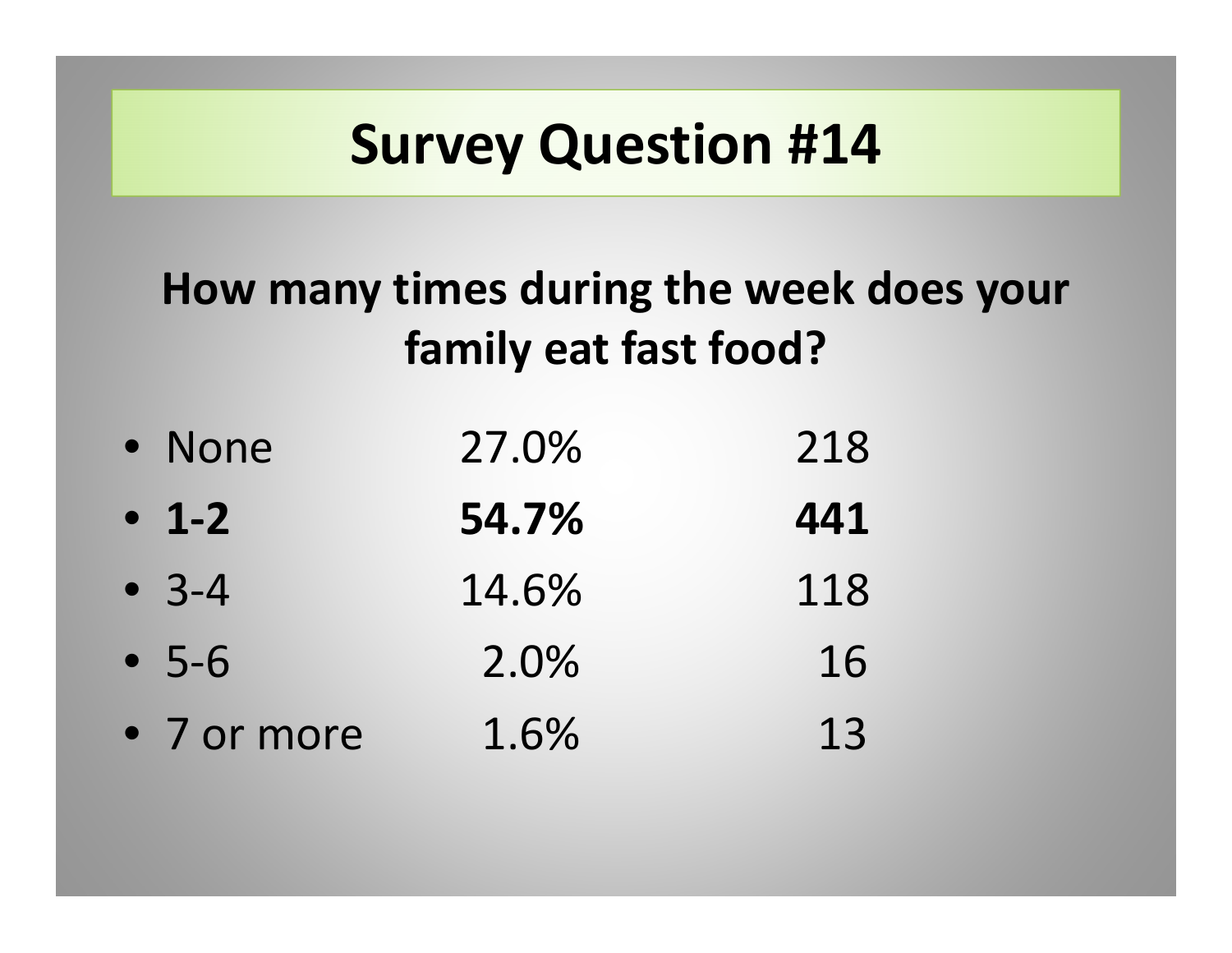#### **How many times during the week does your family eat fast food?**

| • None      | 27.0% | 218 |
|-------------|-------|-----|
| $-1-2$      | 54.7% | 441 |
| $-3-4$      | 14.6% | 118 |
| $-5-6$      | 2.0%  | 16  |
| • 7 or more | 1.6%  | 13  |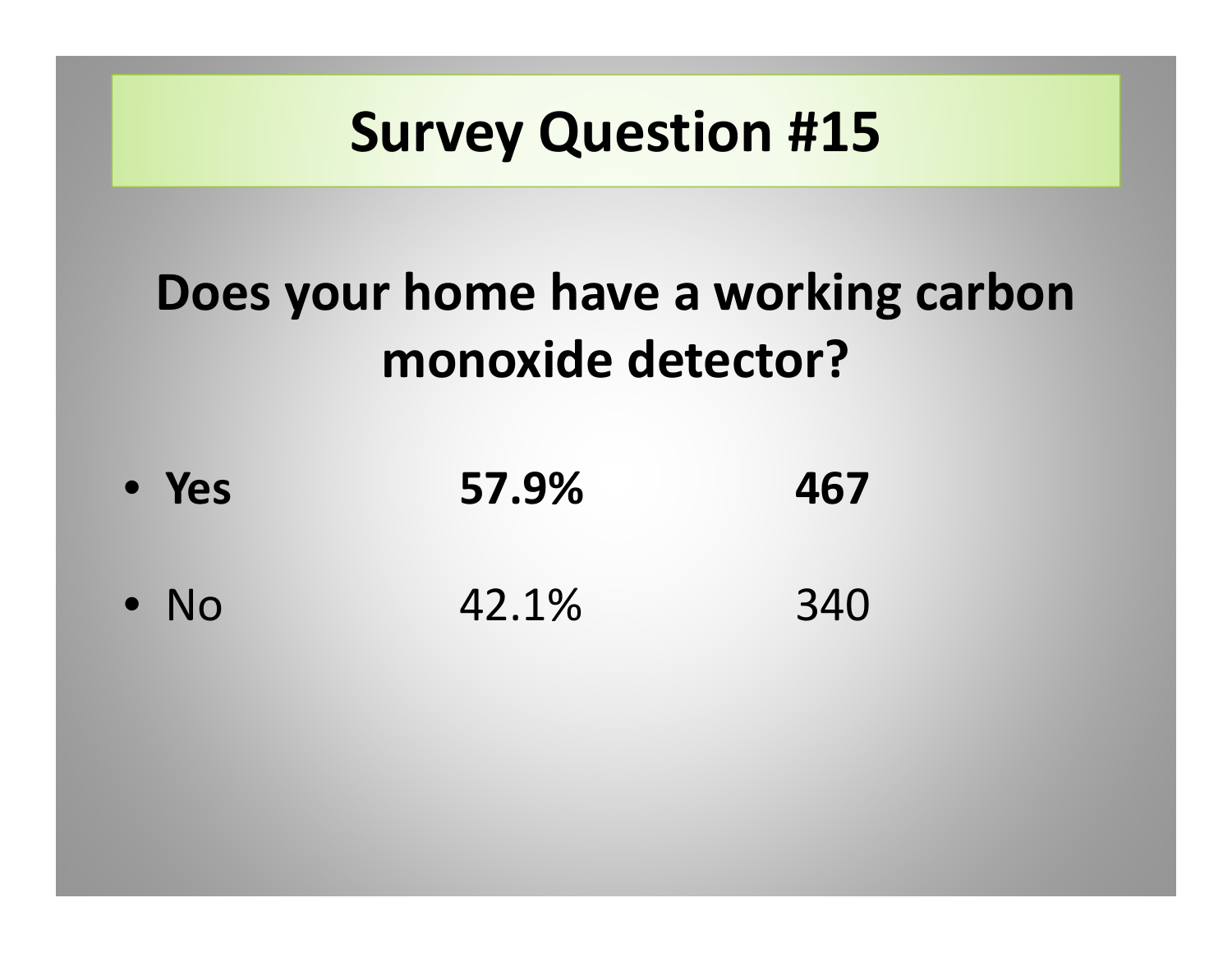#### **Does your home have <sup>a</sup> working carbon monoxide detector?**

• **Yes 57.9% 467** • No 42.1%340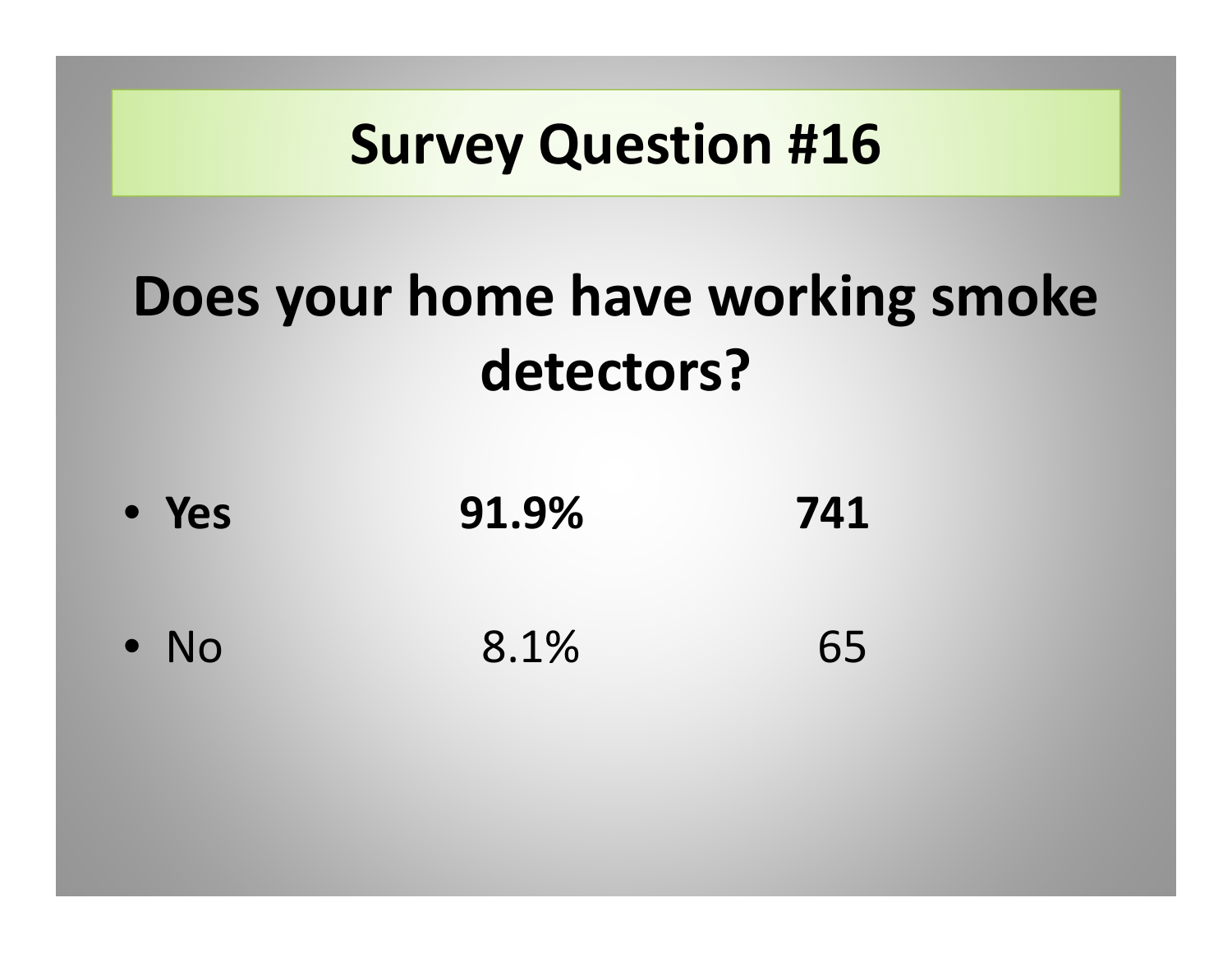# **Does your home have working smoke detectors?**

• **Yes 91.9% 741** • No 8.1%65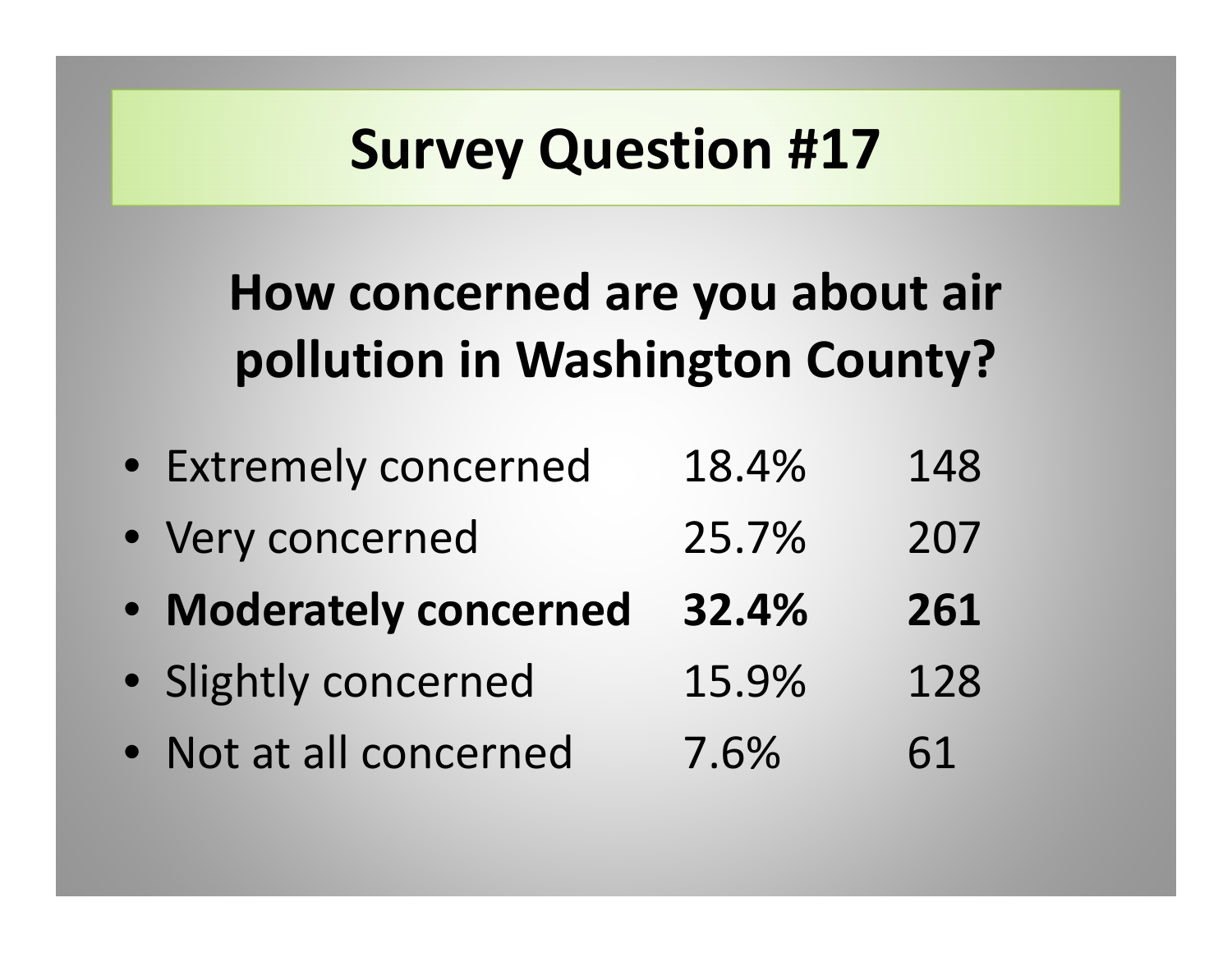#### **How concerned are you about air pollution in Washington County?**

| • Extremely concerned  | 18.4% | 148 |
|------------------------|-------|-----|
| • Very concerned       | 25.7% | 207 |
| • Moderately concerned | 32.4% | 261 |
| · Slightly concerned   | 15.9% | 128 |
| • Not at all concerned | 7.6%  | 61  |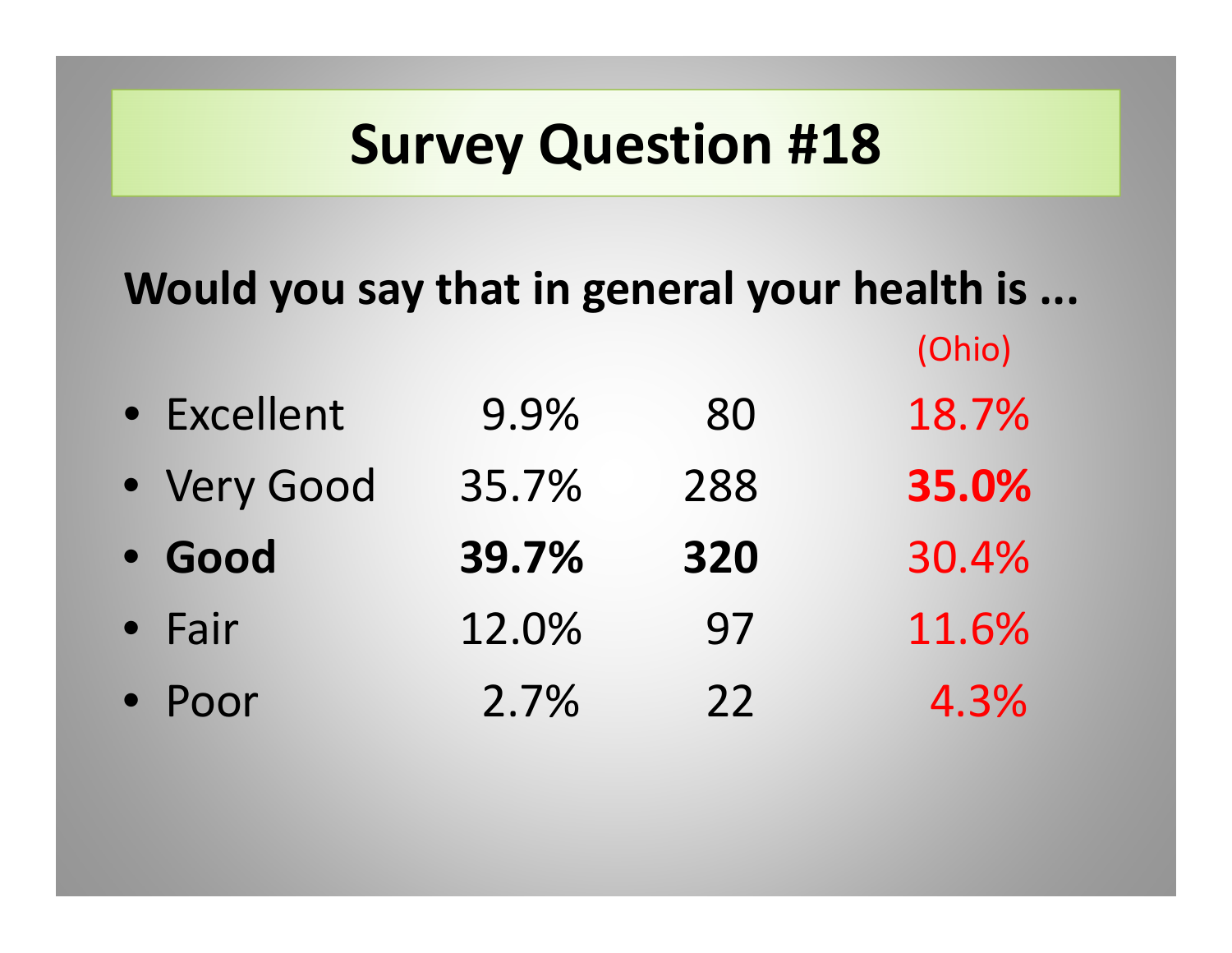#### **Would you say that in general your health is ...**

| • Excellent | 9.9%  | 80  | 18.7% |
|-------------|-------|-----|-------|
| • Very Good | 35.7% | 288 | 35.0% |
| · Good      | 39.7% | 320 | 30.4% |
| • Fair      | 12.0% | 97  | 11.6% |
| • Poor      | 2.7%  | 22  | 4.3%  |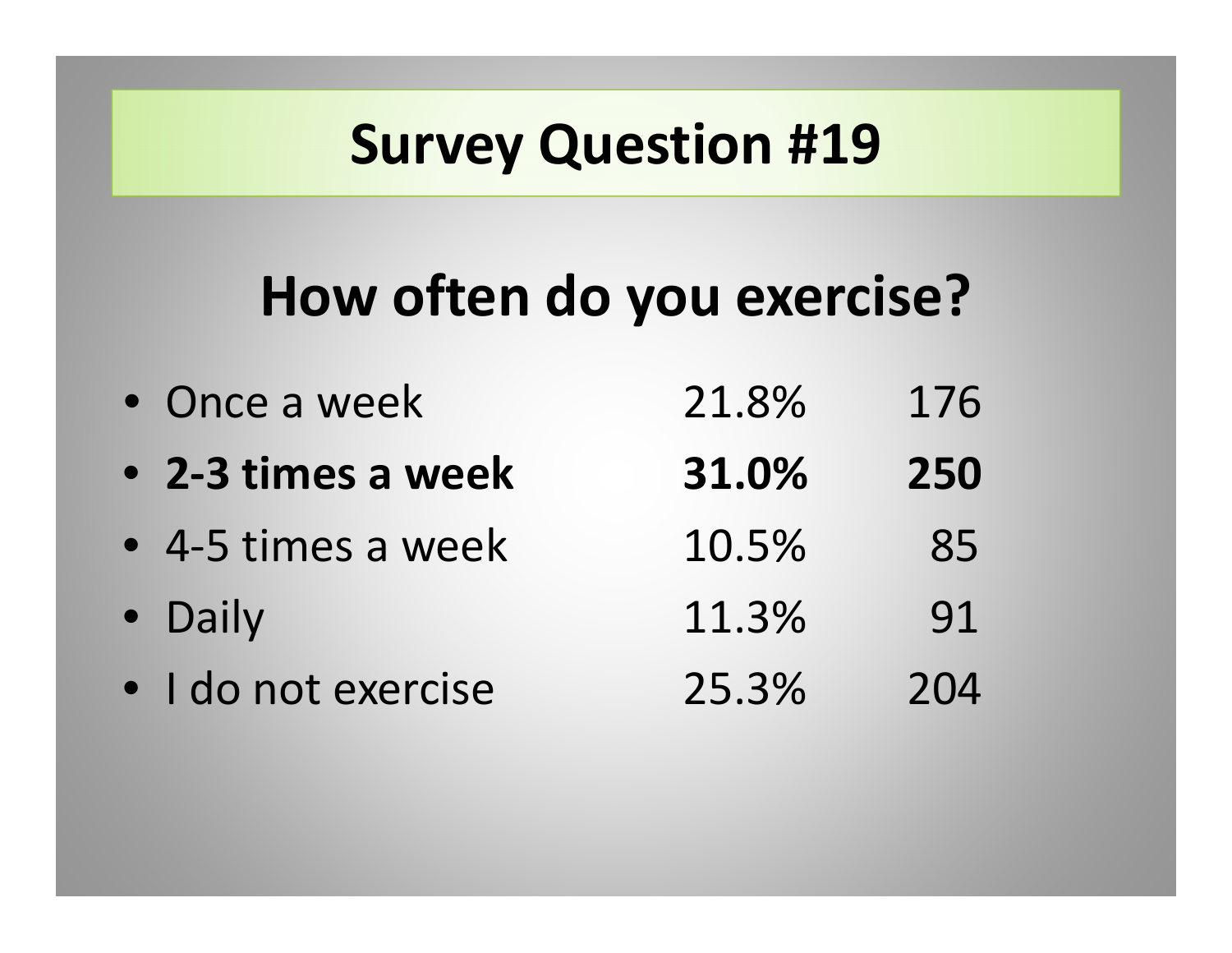## **How often do you exercise?**

| • Once a week       | 21.8% | 176 |
|---------------------|-------|-----|
| • 2-3 times a week  | 31.0% | 250 |
| • 4-5 times a week  | 10.5% | 85  |
| • Daily             | 11.3% | 91  |
| · I do not exercise | 25.3% | 204 |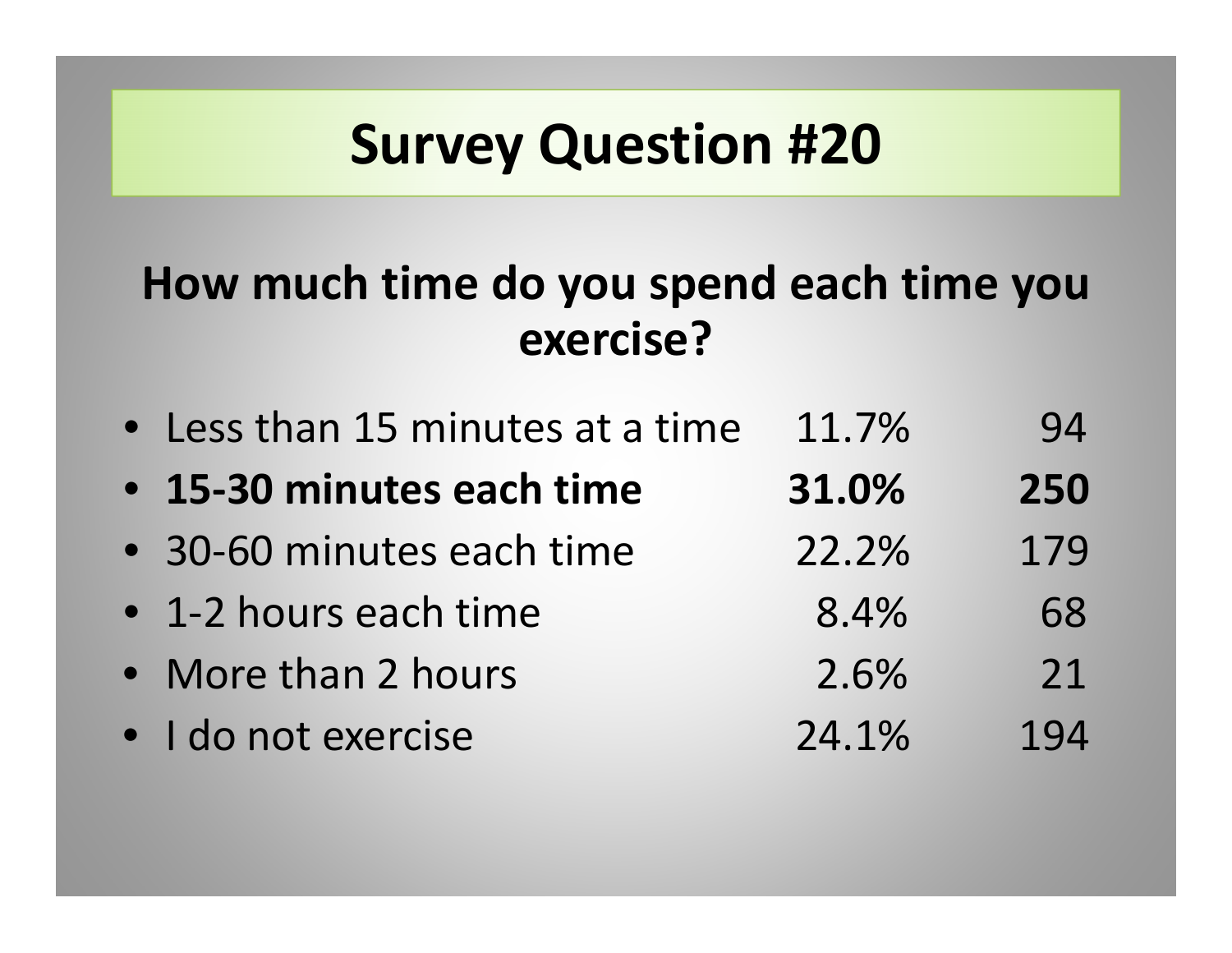#### **How much time do you spend each time you exercise?**

| • Less than 15 minutes at a time | 11.7% | 94  |
|----------------------------------|-------|-----|
| • 15-30 minutes each time        | 31.0% | 250 |
| • 30-60 minutes each time        | 22.2% | 179 |
| • 1-2 hours each time            | 8.4%  | 68  |
| • More than 2 hours              | 2.6%  | 21  |
| · I do not exercise              | 24.1% | 194 |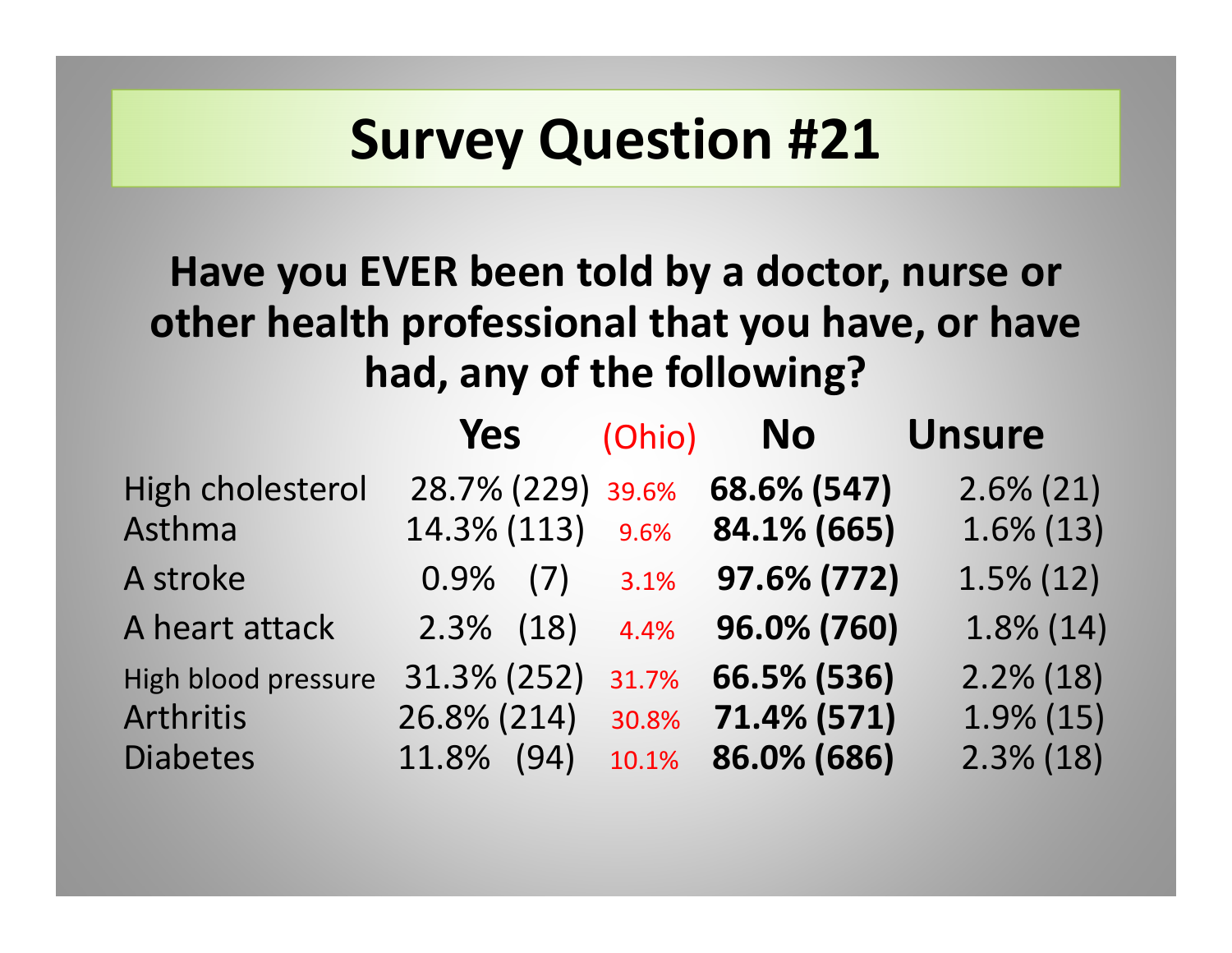#### **Have you EVER been told by <sup>a</sup> doctor, nurse or other health professional that you have, or have had, any of the following?**

|                     | Yes                        | (Ohio)       | <b>No</b>                  | <b>Unsure</b>                |
|---------------------|----------------------------|--------------|----------------------------|------------------------------|
| High cholesterol    | 28.7% (229)                | 39.6%        | 68.6% (547)                | $2.6\% (21)$                 |
| Asthma<br>A stroke  | 14.3% (113)<br>$0.9\%$ (7) | 9.6%<br>3.1% | 84.1% (665)<br>97.6% (772) | $1.6\%$ (13)<br>$1.5\%$ (12) |
| A heart attack      | $2.3\%$ (18)               | 4.4%         | 96.0% (760)                | $1.8\%$ (14)                 |
| High blood pressure | 31.3% (252)                | 31.7%        | 66.5% (536)                | $2.2\%$ (18)                 |
| <b>Arthritis</b>    | 26.8% (214)                | 30.8%        | 71.4% (571)                | $1.9\%$ (15)                 |
| <b>Diabetes</b>     | 11.8% (94)                 | 10.1%        | 86.0% (686)                | $2.3\%$ (18)                 |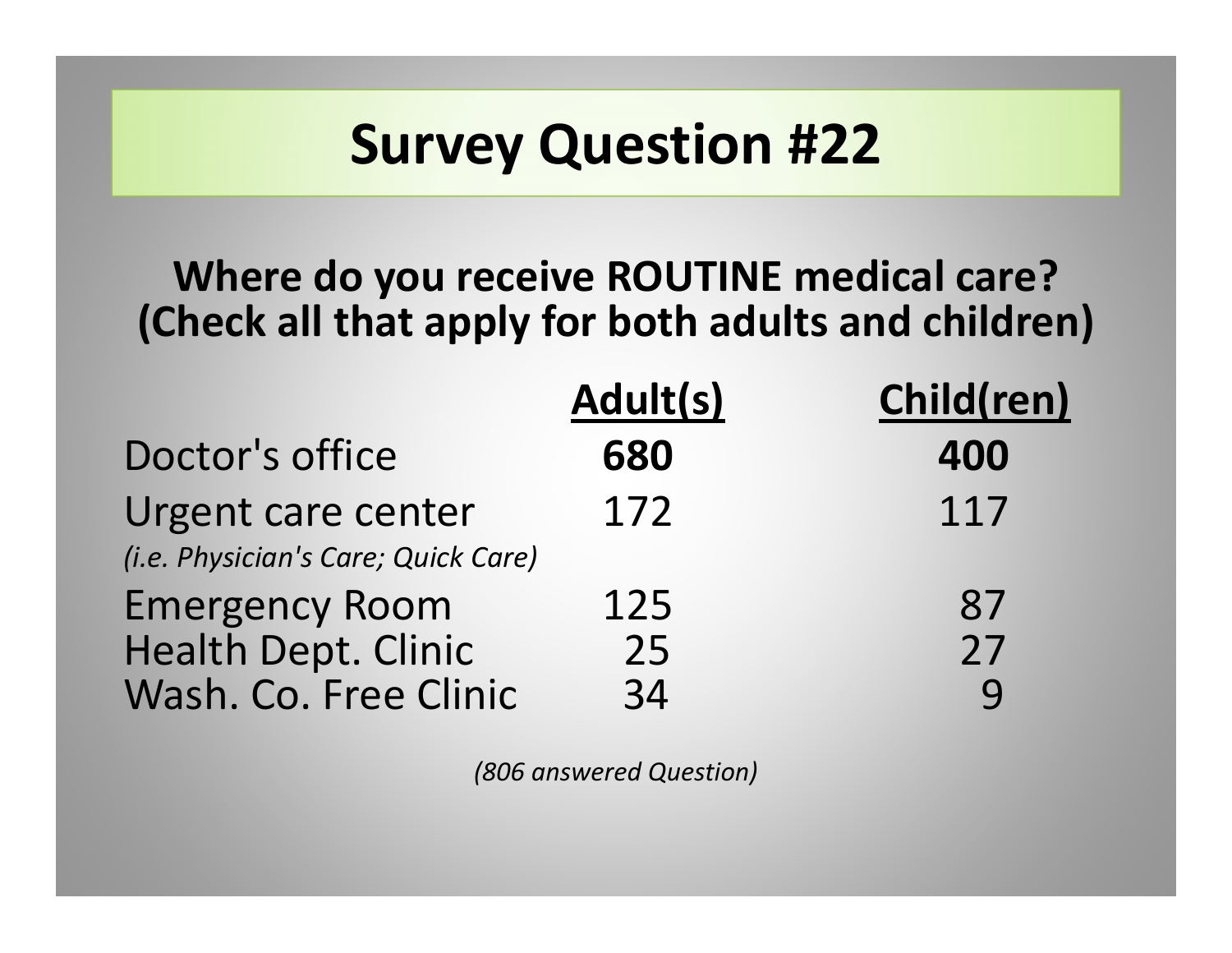#### **Where do you receive ROUTINE medical care? (Check all that apply for both adults and children)**

|                                     | Adult(s) | Child(ren)  |
|-------------------------------------|----------|-------------|
| Doctor's office                     | 680      | 400         |
| Urgent care center                  | 172      | 117         |
| (i.e. Physician's Care; Quick Care) |          |             |
| <b>Emergency Room</b>               | 125      | 87          |
| <b>Health Dept. Clinic</b>          | 25       | 27          |
| Wash. Co. Free Clinic               | 34       | $\mathbf Q$ |

*(806 answered Question)*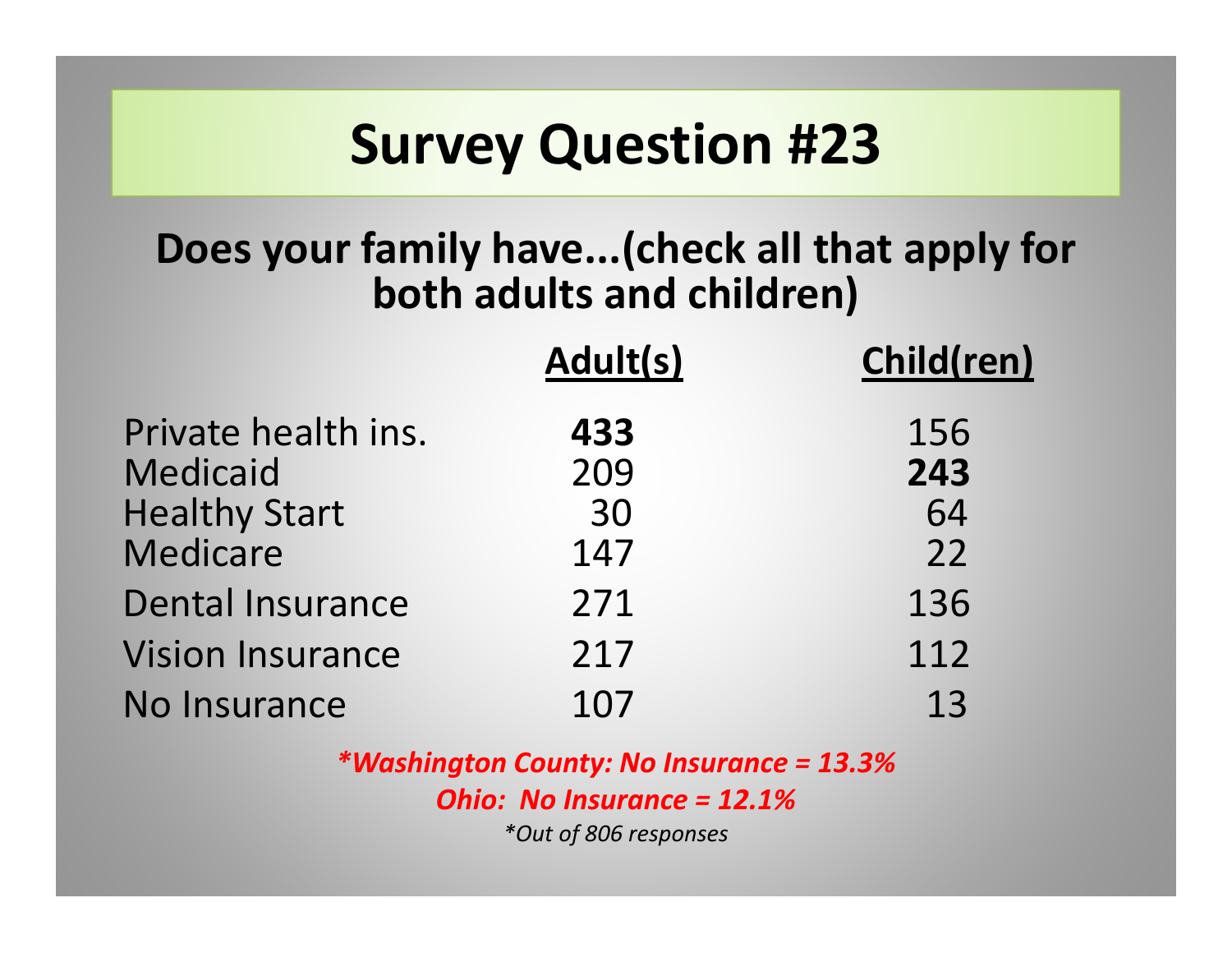#### **Does your family have...(check all that apply for both adults and children)**

|                                        | Adult(s)   | Child(ren) |
|----------------------------------------|------------|------------|
| Private health ins.<br><b>Medicaid</b> | 433<br>209 | 156<br>243 |
| <b>Healthy Start</b><br>Medicare       | 30<br>147  | 64<br>22   |
| <b>Dental Insurance</b>                | 271        | 136        |
| <b>Vision Insurance</b>                | 217        | 112        |
| No Insurance                           | 107        | 13         |

*\*Washington County: No Insurance <sup>=</sup> 13.3% Ohio: No Insurance <sup>=</sup> 12.1%\*Out of 806 responses*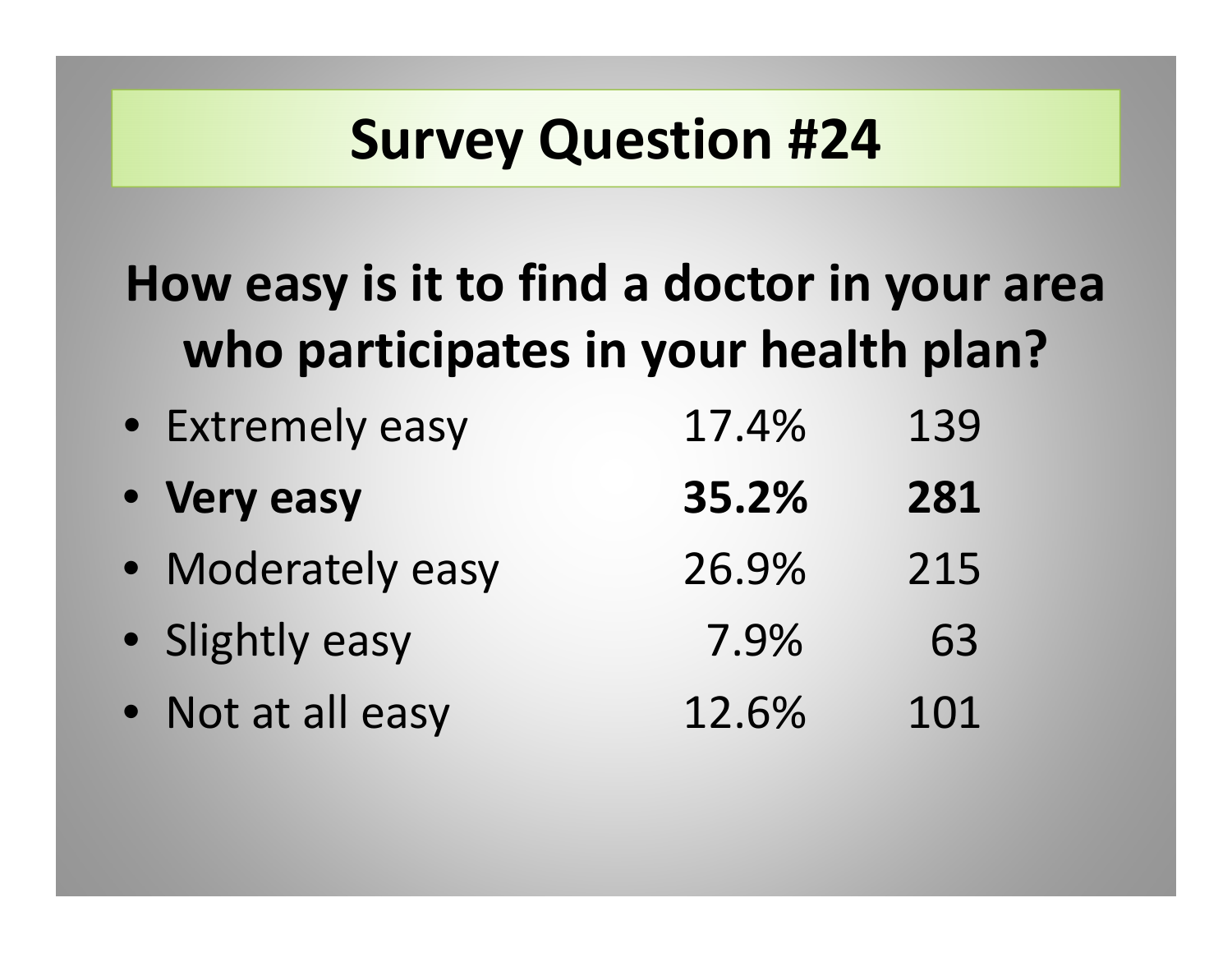#### **How easy is it to find <sup>a</sup> doctor in your area who participates in your health plan?**

| • Extremely easy  | 17.4% | 139 |
|-------------------|-------|-----|
| • Very easy       | 35.2% | 281 |
| • Moderately easy | 26.9% | 215 |
| • Slightly easy   | 7.9%  | 63  |
| • Not at all easy | 12.6% | 101 |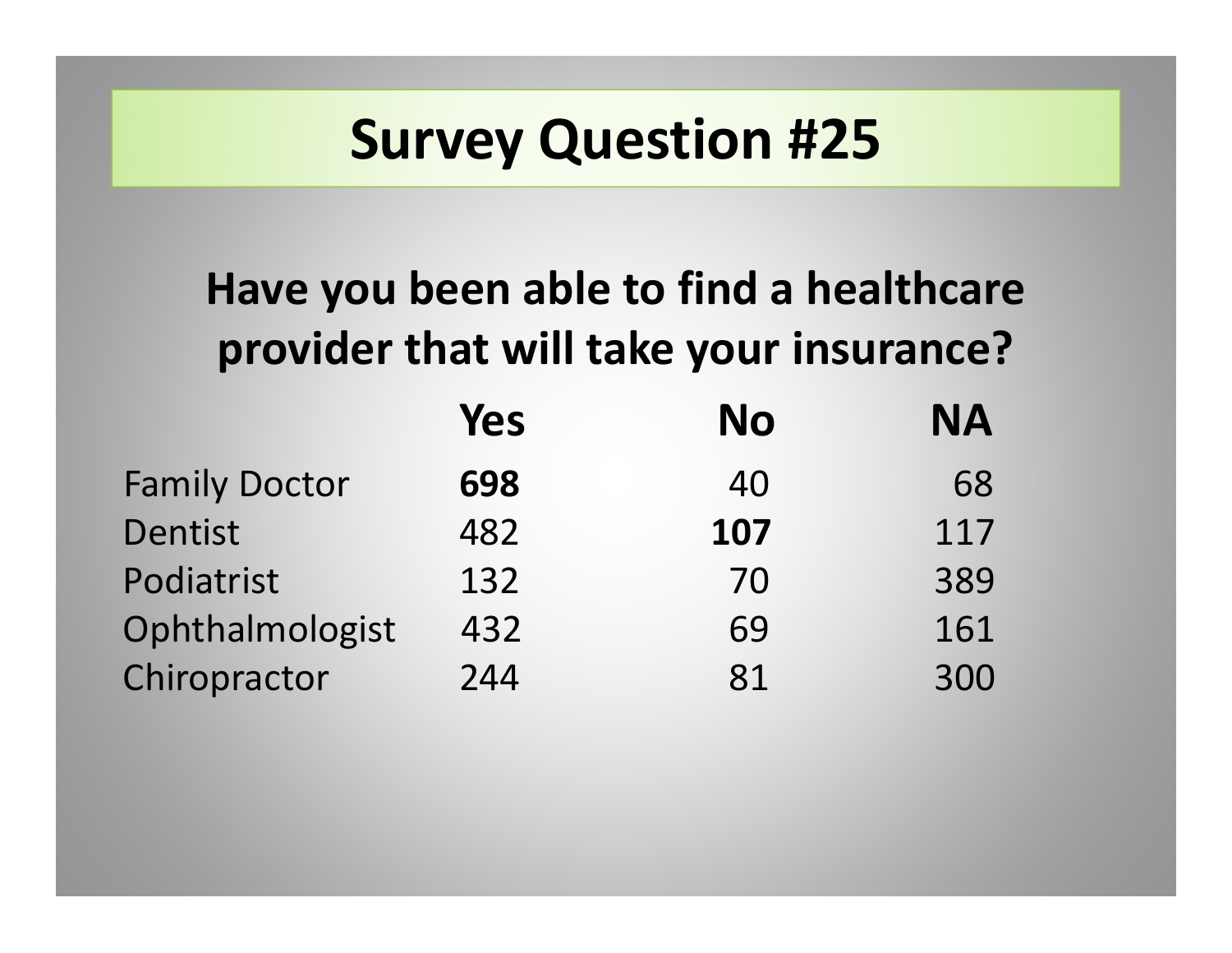#### **Have you been able to find <sup>a</sup> healthcare provider that will take your insurance?**

|                      | Yes | <b>No</b> | <b>NA</b> |
|----------------------|-----|-----------|-----------|
| <b>Family Doctor</b> | 698 | 40        | 68        |
| Dentist              | 482 | 107       | 117       |
| Podiatrist           | 132 | 70        | 389       |
| Ophthalmologist      | 432 | 69        | 161       |
| Chiropractor         | 244 | 81        | 300       |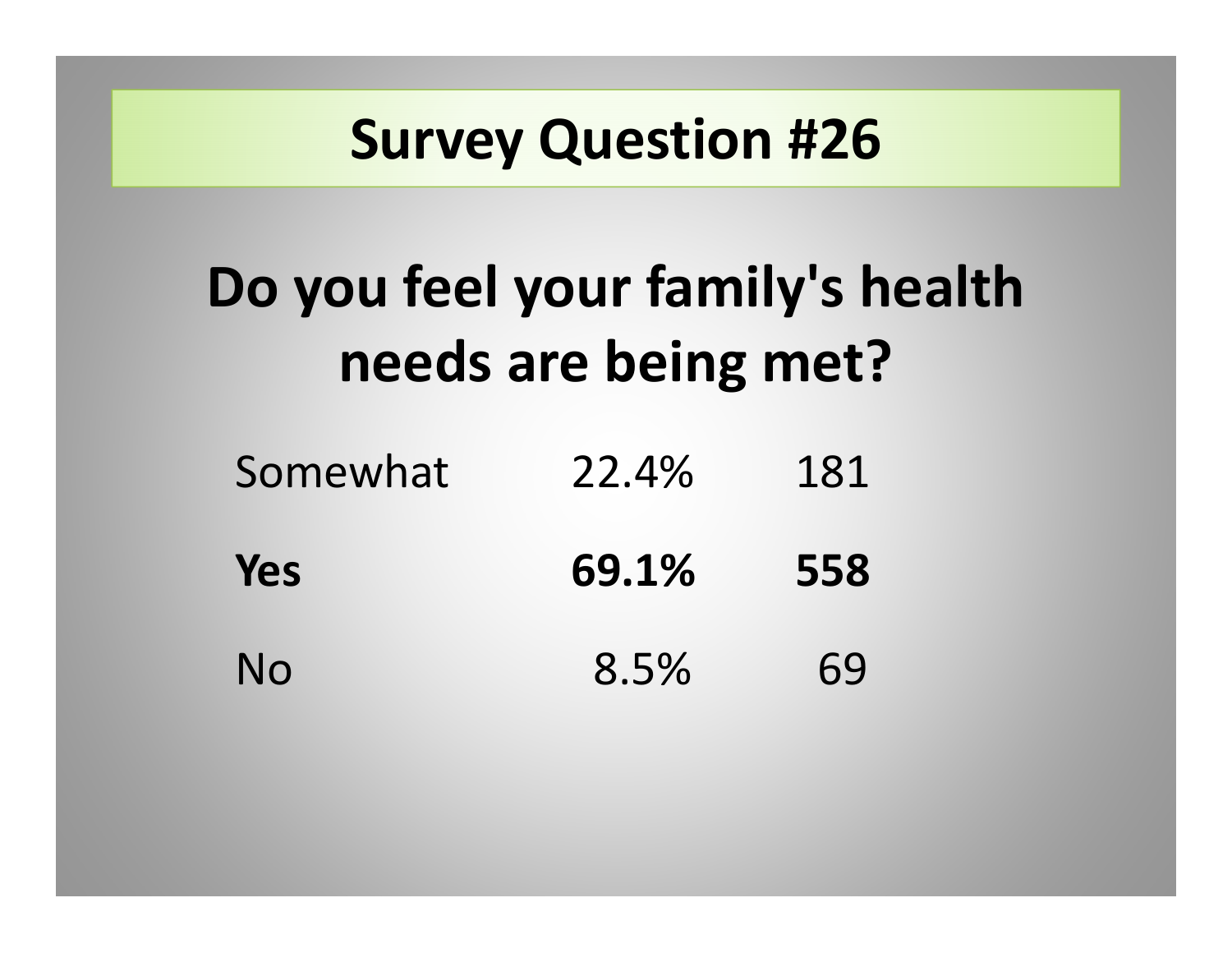# **Do you feel your family's health needs are being met?**

| Somewhat | 22.4% | 181 |
|----------|-------|-----|
| Yes      | 69.1% | 558 |
| No       | 8.5%  | 69  |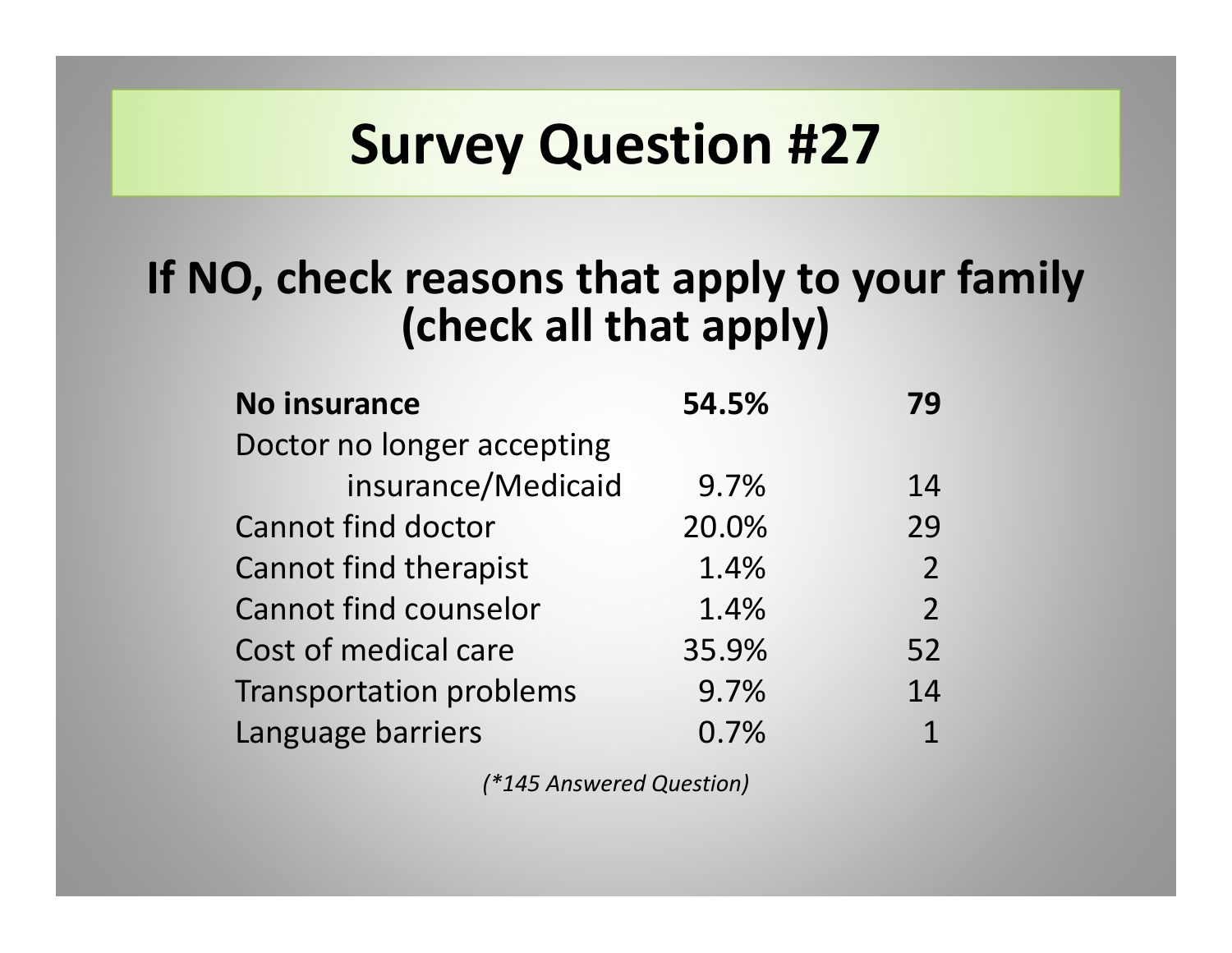#### **If NO, check reasons that apply to your family (check all that apply)**

| <b>No insurance</b>            | 54.5% | 79             |
|--------------------------------|-------|----------------|
| Doctor no longer accepting     |       |                |
| insurance/Medicaid             | 9.7%  | 14             |
| <b>Cannot find doctor</b>      | 20.0% | 29             |
| <b>Cannot find therapist</b>   | 1.4%  | $\overline{2}$ |
| <b>Cannot find counselor</b>   | 1.4%  | $\overline{2}$ |
| Cost of medical care           | 35.9% | 52             |
| <b>Transportation problems</b> | 9.7%  | 14             |
| Language barriers              | 0.7%  | 1              |

*(\*145 Answered Question)*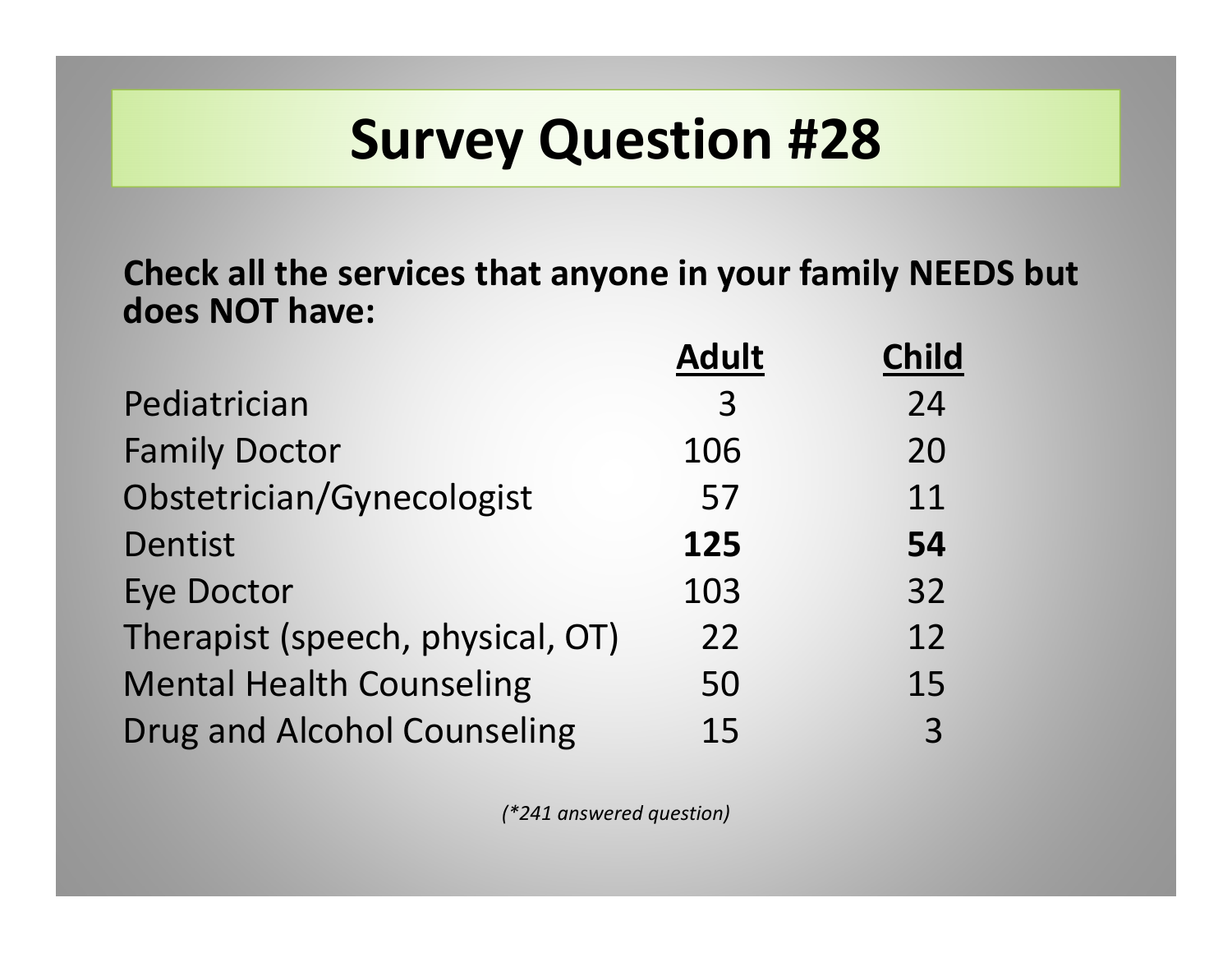**Check all the services that anyone in your family NEEDS but does NOT have:**

|                                    | <b>Adult</b> | <b>Child</b> |
|------------------------------------|--------------|--------------|
| Pediatrician                       | 3            | 24           |
| <b>Family Doctor</b>               | 106          | 20           |
| Obstetrician/Gynecologist          | 57           | 11           |
| <b>Dentist</b>                     | 125          | 54           |
| <b>Eye Doctor</b>                  | 103          | 32           |
| Therapist (speech, physical, OT)   | 22           | 12           |
| <b>Mental Health Counseling</b>    | 50           | 15           |
| <b>Drug and Alcohol Counseling</b> | 15           | 3            |

*(\*241 answered question)*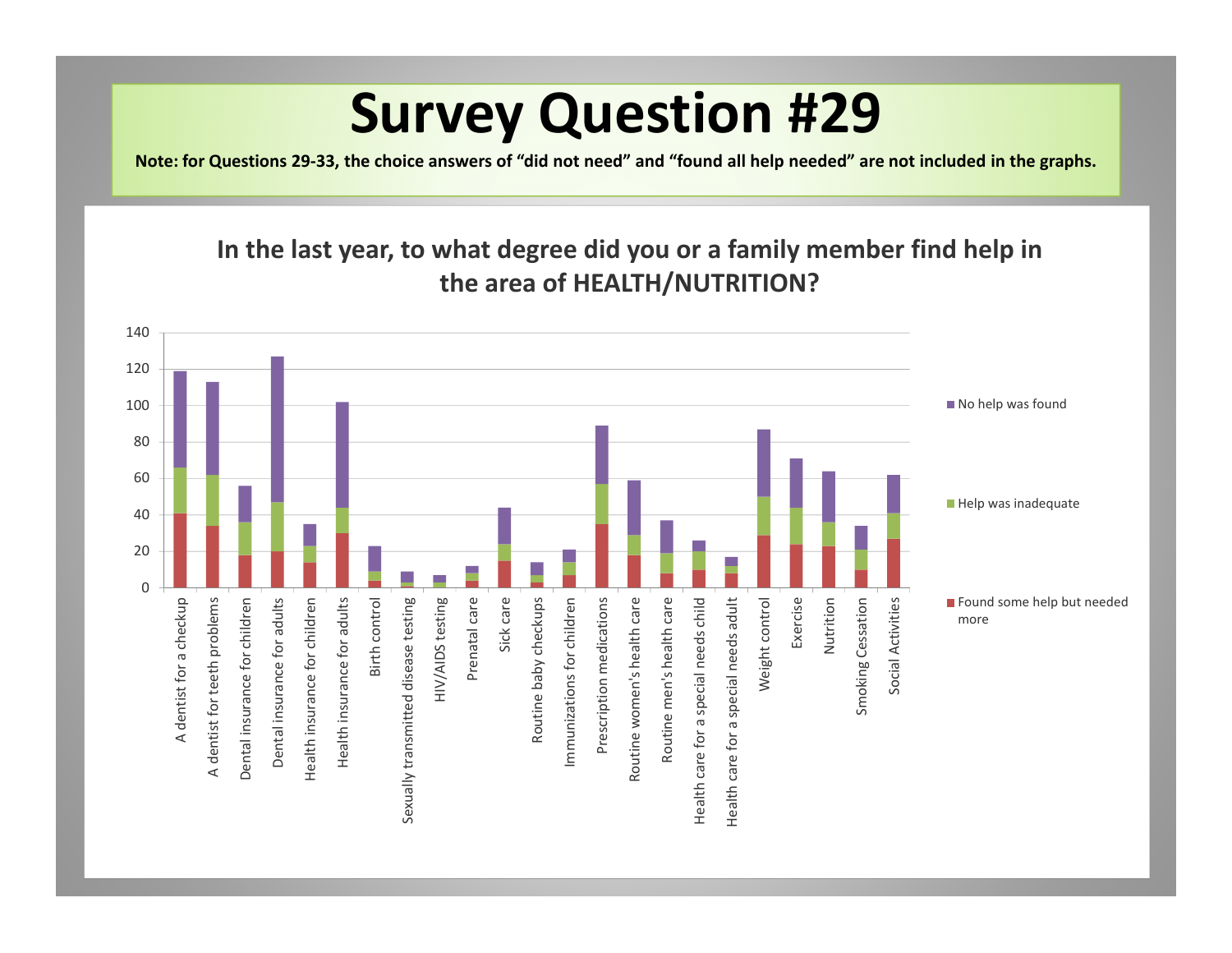Note: for Questions 29-33, the choice answers of "did not need" and "found all help needed" are not included in the graphs.

#### **In the last year, to what degree did you or <sup>a</sup> family member find help in the area of HEALTH/NUTRITION?**

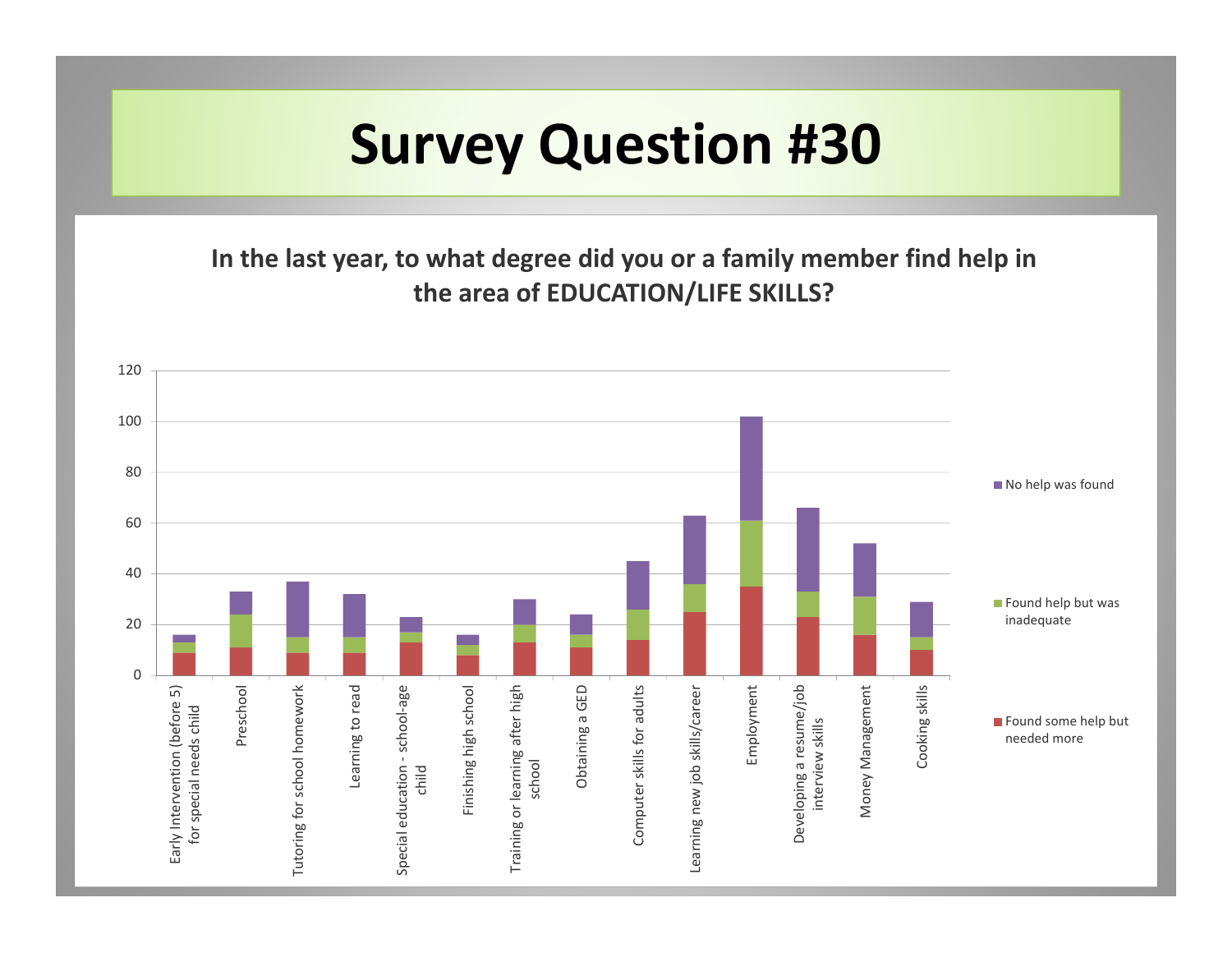**In the last year, to what degree did you or <sup>a</sup> family member find help in the area of EDUCATION/LIFE SKILLS?**

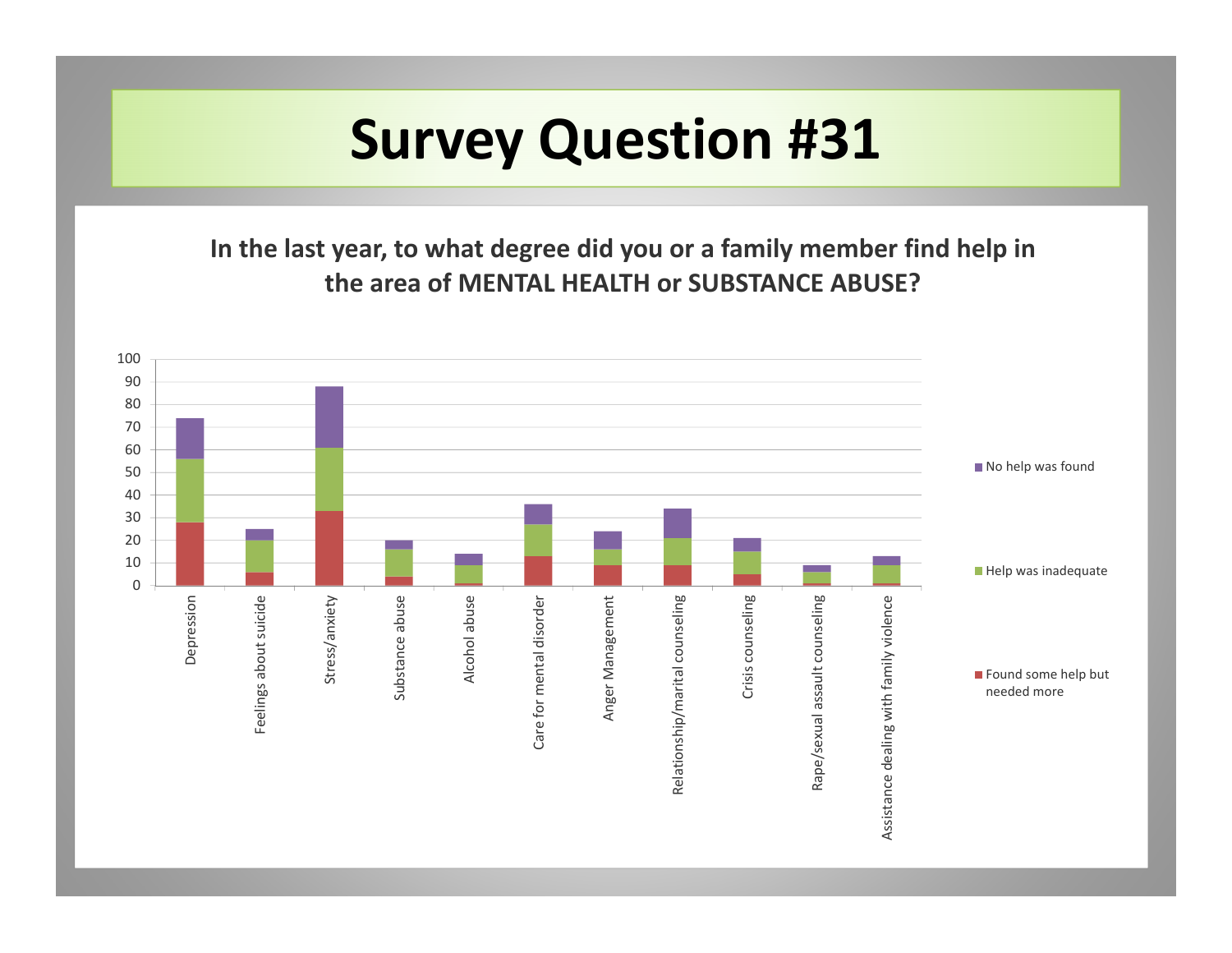**In the last year, to what degree did you or <sup>a</sup> family member find help in the area of MENTAL HEALTH or SUBSTANCE ABUSE?**

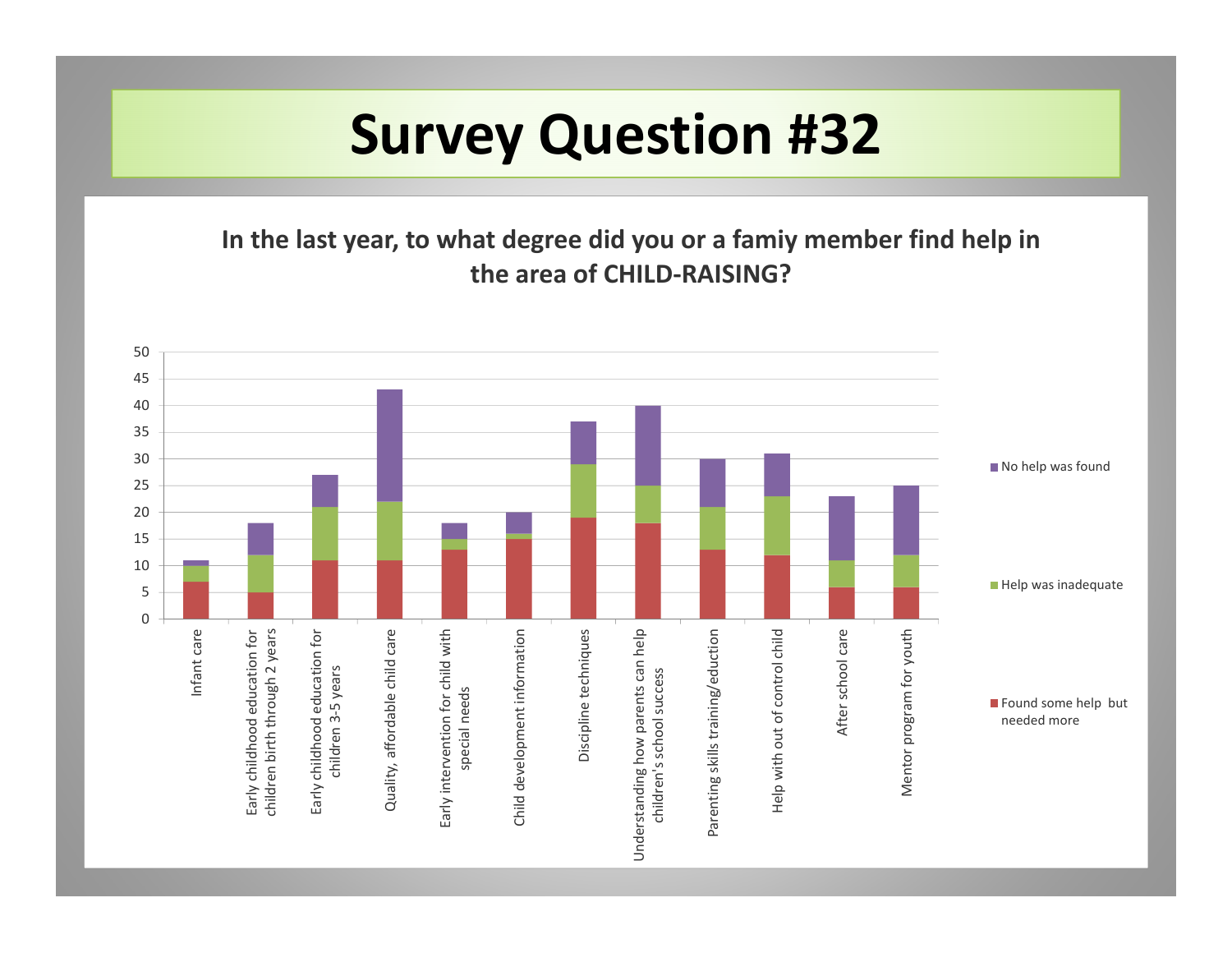**In the last year, to what degree did you or <sup>a</sup> famiy member find help in the area of CHILD‐RAISING?**

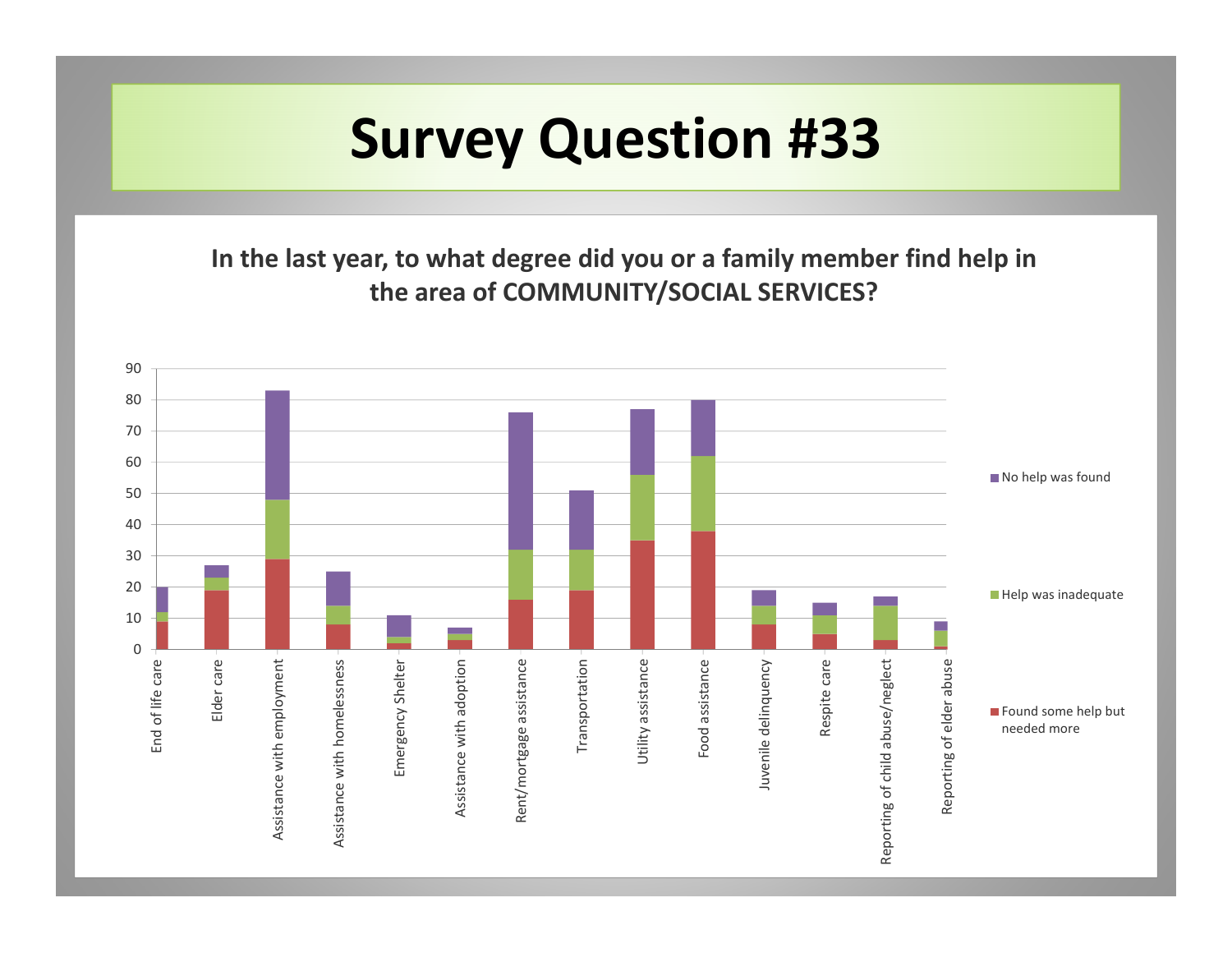**In the last year, to what degree did you or <sup>a</sup> family member find help in the area of COMMUNITY/SOCIAL SERVICES?**

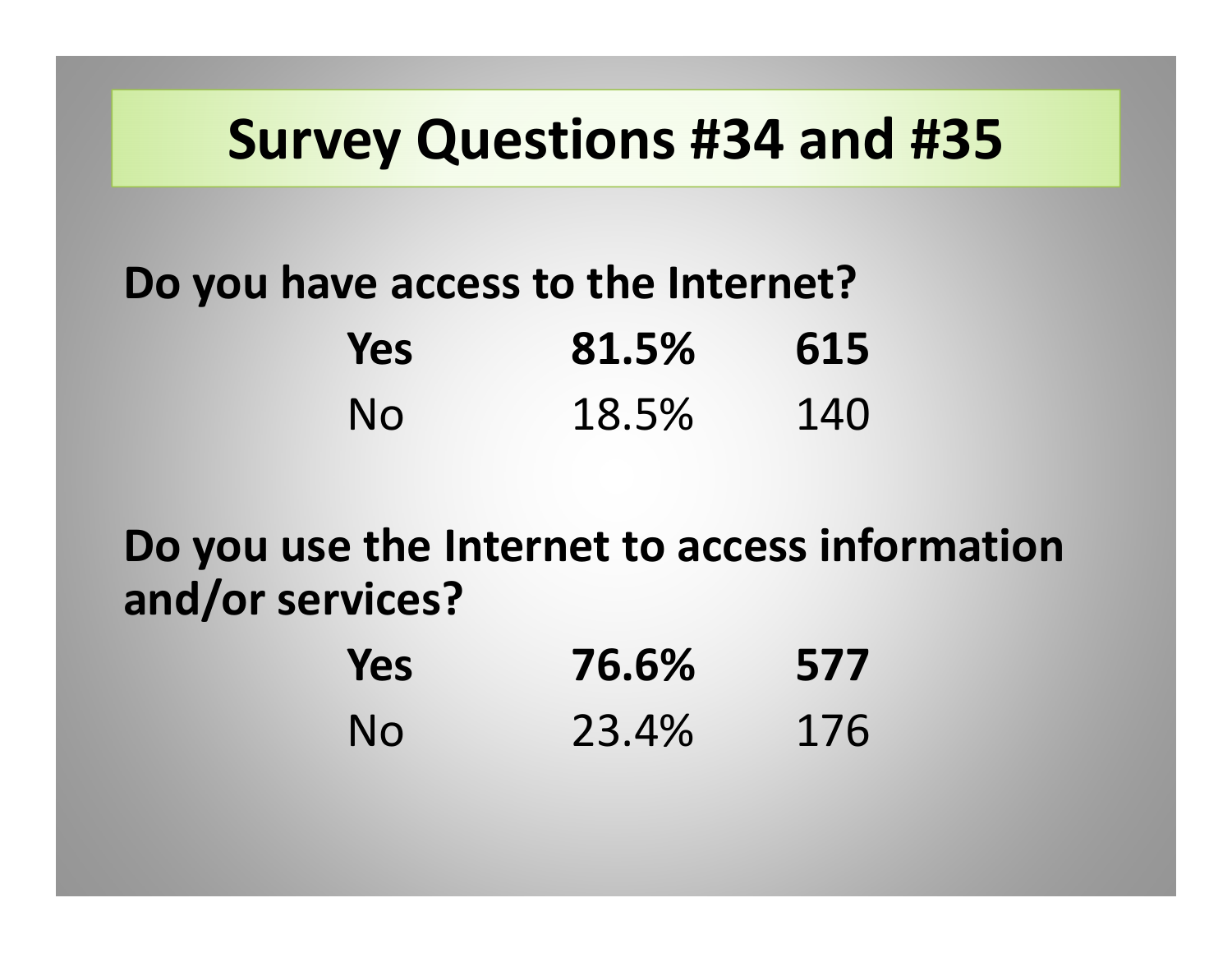#### **Survey Questions #34 and #35**

#### **Do you have access to the Internet? Yes 81.5% 615** No 18.5%140

**Do you use the Internet to access information and/or services?**

| Yes       | 76.6% | 577 |
|-----------|-------|-----|
| <b>No</b> | 23.4% | 176 |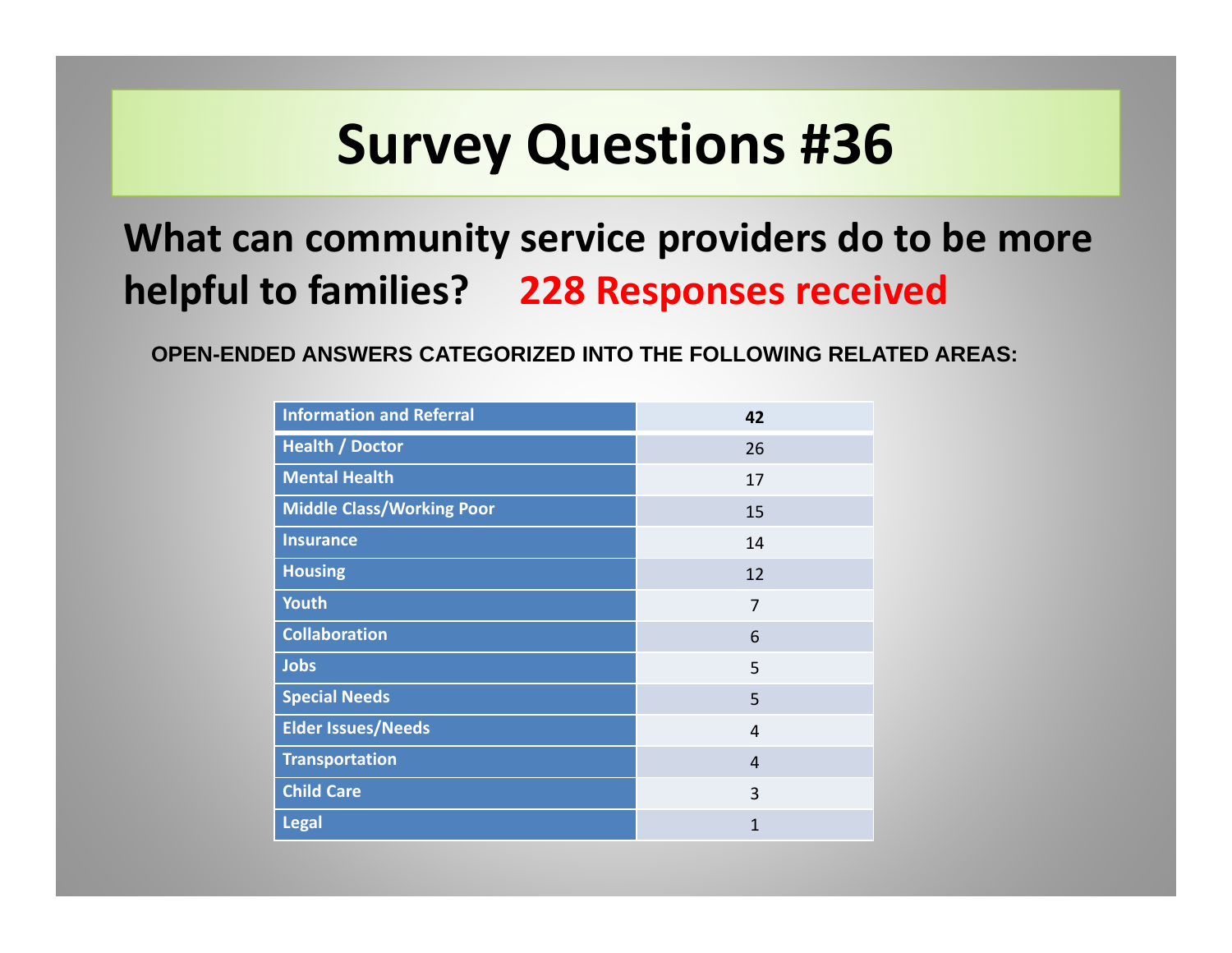#### **What can community service providers do to be more helpful to families? 228 Responses received**

**OPEN-ENDED ANSWERS CATEGORIZED INTO THE FOLLOWING RELATED AREAS:**

| <b>Information and Referral</b>  | 42           |
|----------------------------------|--------------|
| <b>Health / Doctor</b>           | 26           |
| <b>Mental Health</b>             | 17           |
| <b>Middle Class/Working Poor</b> | 15           |
| <b>Insurance</b>                 | 14           |
| <b>Housing</b>                   | 12           |
| <b>Youth</b>                     | 7            |
| <b>Collaboration</b>             | 6            |
| <b>Jobs</b>                      | 5            |
| <b>Special Needs</b>             | 5            |
| <b>Elder Issues/Needs</b>        | 4            |
| <b>Transportation</b>            | 4            |
| <b>Child Care</b>                | 3            |
| <b>Legal</b>                     | $\mathbf{1}$ |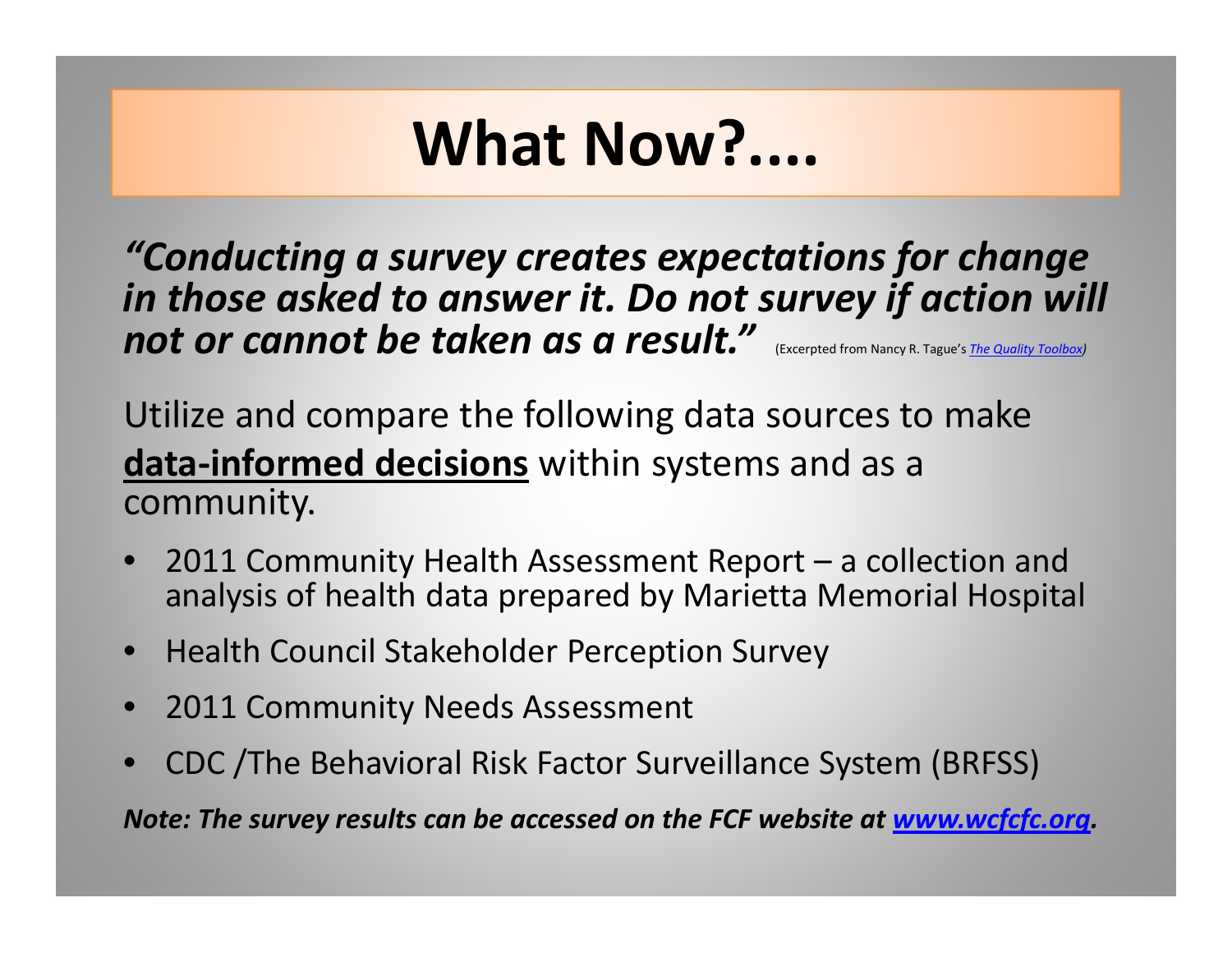## **What Now?....**

*"Conducting <sup>a</sup> survey creates expectations for change in those asked to answer it. Do not survey if action will not or cannot be taken as a result."* (Excerpted from Nancy R. Tague's *The Quality Toolbox)*

Utilize and compare the following data sources to make **data‐informed decisions** within systems and as <sup>a</sup> community.

- • 2011 Community Health Assessment Report – <sup>a</sup> collection and analysis of health data prepared by Marietta Memorial Hospital
- Health Council Stakeholder Perception Survey
- 2011 Community Needs Assessment
- •CDC /The Behavioral Risk Factor Surveillance System (BRFSS)

*Note: The survey results can be accessed on the FCF website at www.wcfcfc.org.*